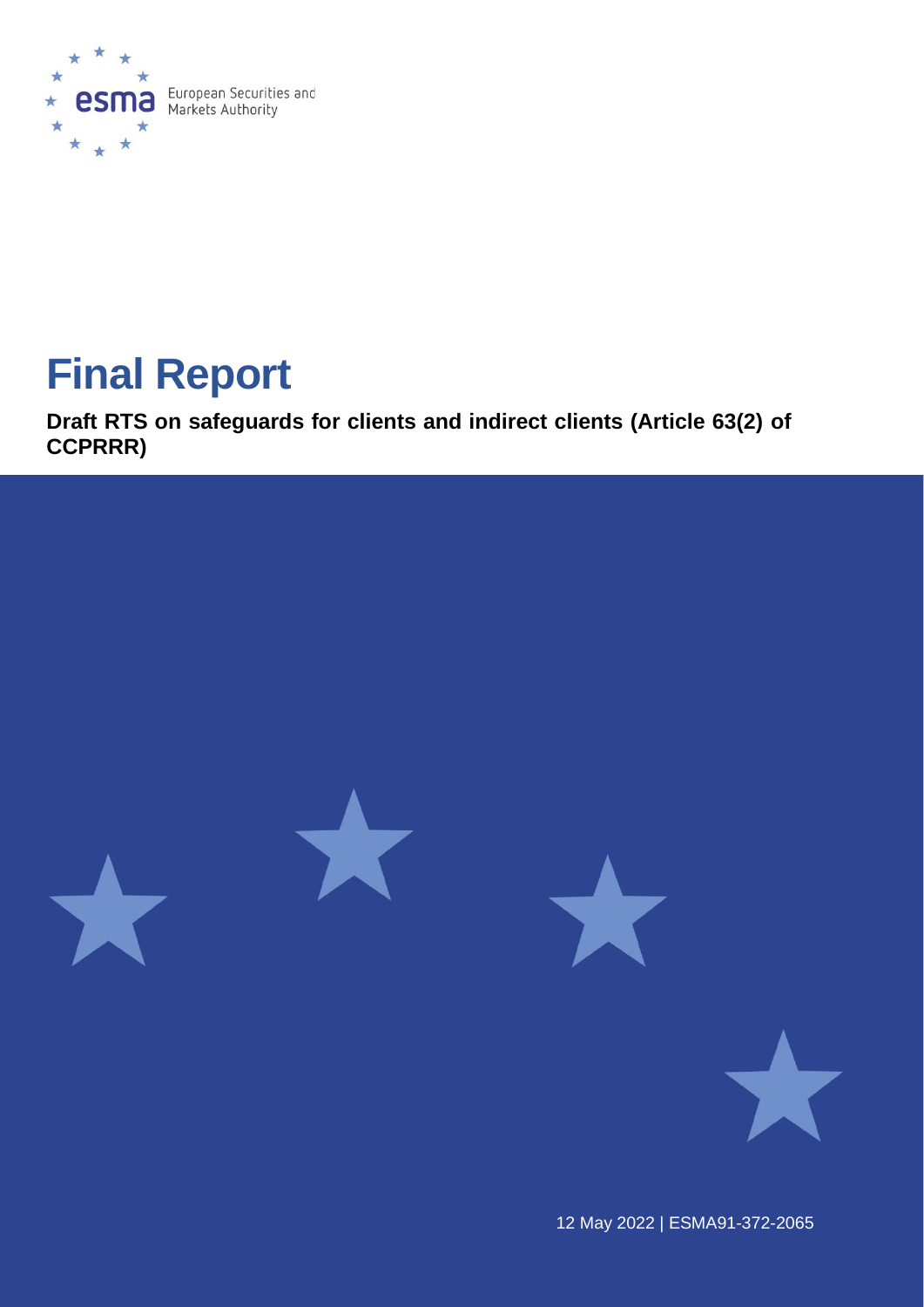

# **Final Report**

**Draft RTS on safeguards for clients and indirect clients (Article 63(2) of CCPRRR)**



12 May 2022 | ESMA91-372-2065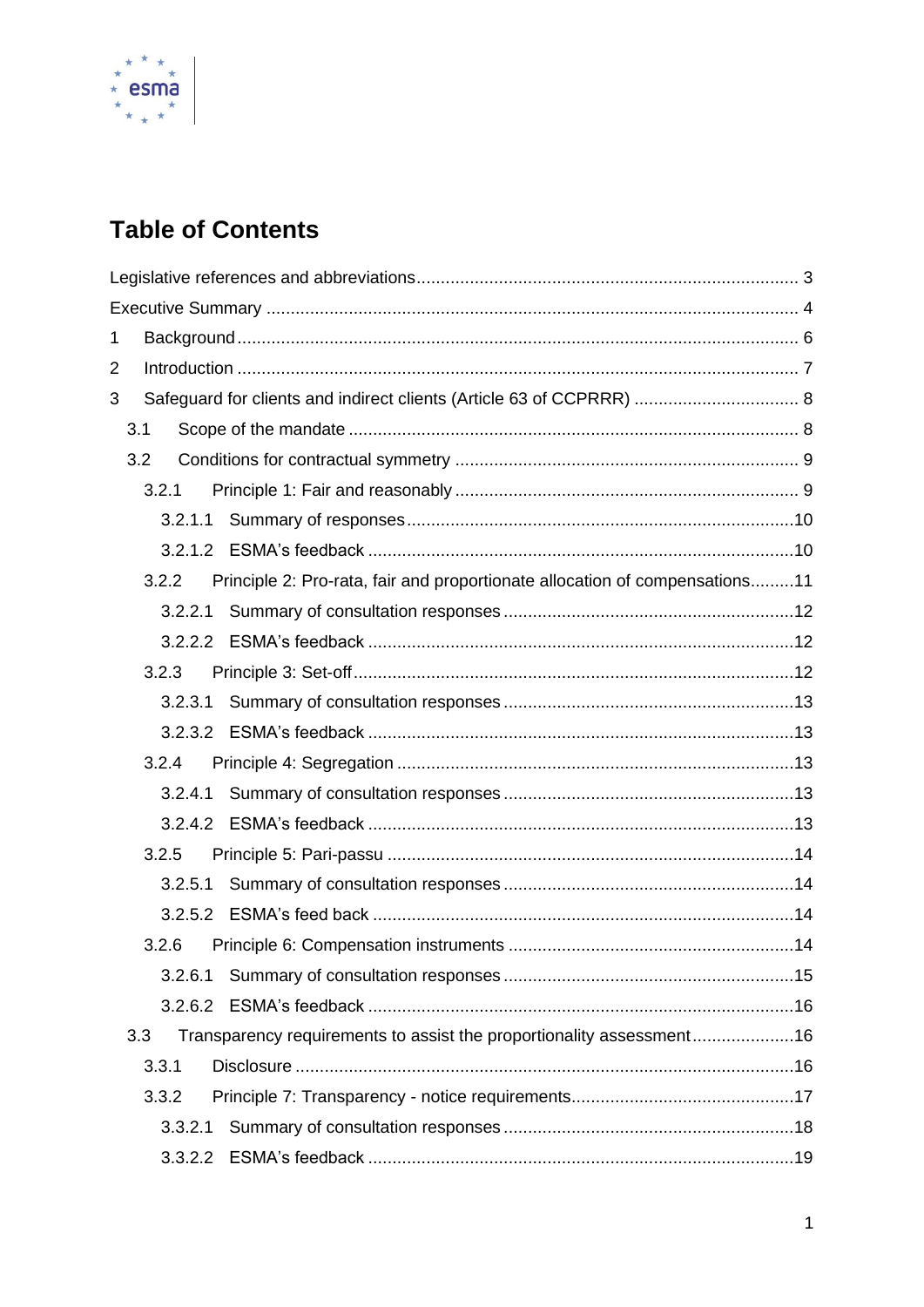

# **Table of Contents**

|   | 1              |  |                                                                             |  |  |  |  |
|---|----------------|--|-----------------------------------------------------------------------------|--|--|--|--|
|   | $\overline{2}$ |  |                                                                             |  |  |  |  |
| 3 |                |  |                                                                             |  |  |  |  |
|   | 3.1            |  |                                                                             |  |  |  |  |
|   | 3.2            |  |                                                                             |  |  |  |  |
|   | 3.2.1          |  |                                                                             |  |  |  |  |
|   |                |  |                                                                             |  |  |  |  |
|   |                |  |                                                                             |  |  |  |  |
|   | 3.2.2          |  | Principle 2: Pro-rata, fair and proportionate allocation of compensations11 |  |  |  |  |
|   |                |  |                                                                             |  |  |  |  |
|   |                |  |                                                                             |  |  |  |  |
|   | 3.2.3          |  |                                                                             |  |  |  |  |
|   |                |  |                                                                             |  |  |  |  |
|   |                |  |                                                                             |  |  |  |  |
|   | 3.2.4          |  |                                                                             |  |  |  |  |
|   |                |  |                                                                             |  |  |  |  |
|   |                |  |                                                                             |  |  |  |  |
|   | 3.2.5          |  |                                                                             |  |  |  |  |
|   |                |  |                                                                             |  |  |  |  |
|   |                |  |                                                                             |  |  |  |  |
|   | 3.2.6          |  |                                                                             |  |  |  |  |
|   | 3.2.6.1        |  |                                                                             |  |  |  |  |
|   |                |  |                                                                             |  |  |  |  |
|   | 3.3            |  | Transparency requirements to assist the proportionality assessment16        |  |  |  |  |
|   | 3.3.1          |  |                                                                             |  |  |  |  |
|   | 3.3.2          |  |                                                                             |  |  |  |  |
|   | 3.3.2.1        |  |                                                                             |  |  |  |  |
|   | 3.3.2.2        |  |                                                                             |  |  |  |  |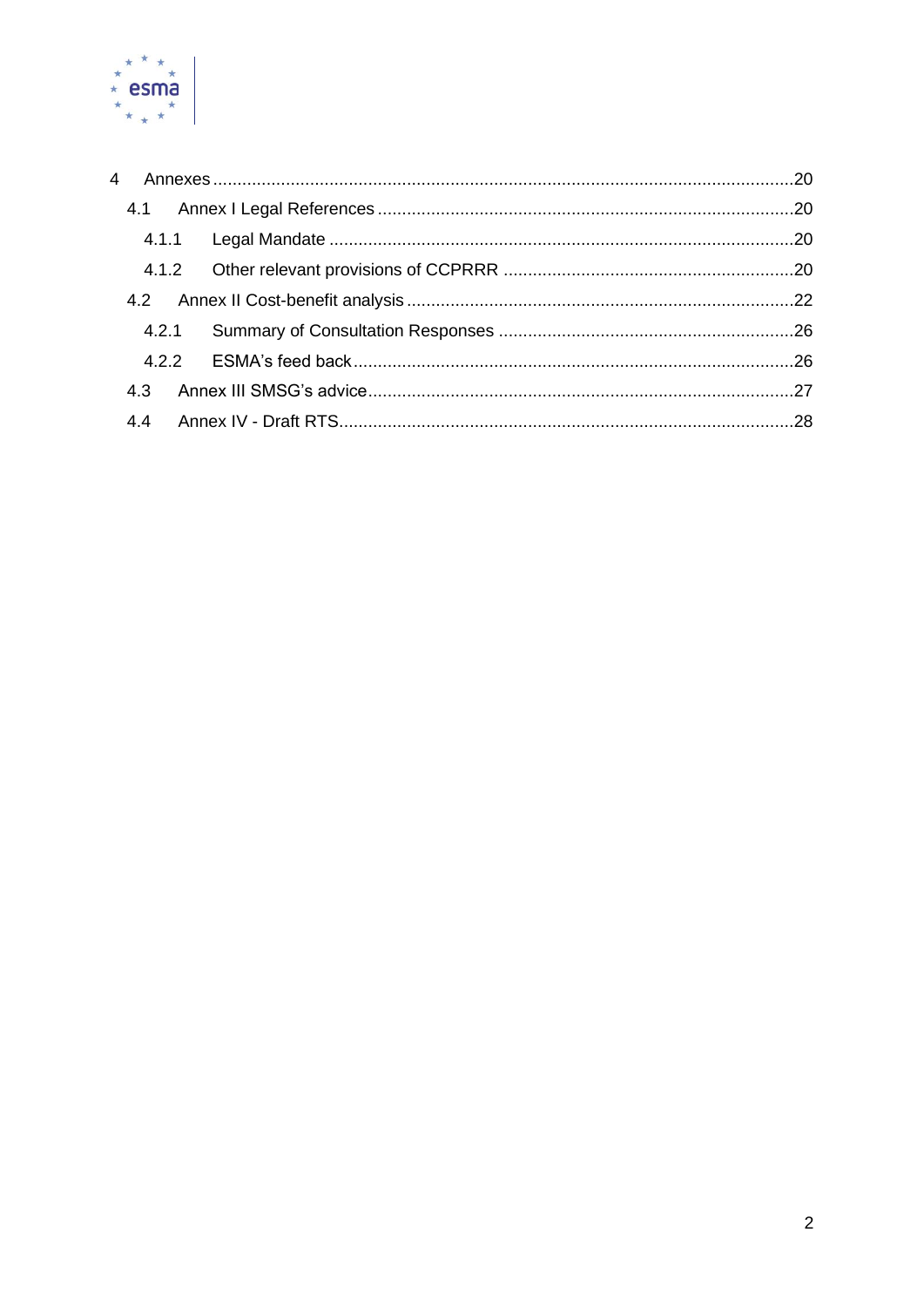

| 4     |  |
|-------|--|
|       |  |
|       |  |
|       |  |
|       |  |
| 4.2.1 |  |
| 422   |  |
| 4.3   |  |
| 4.4   |  |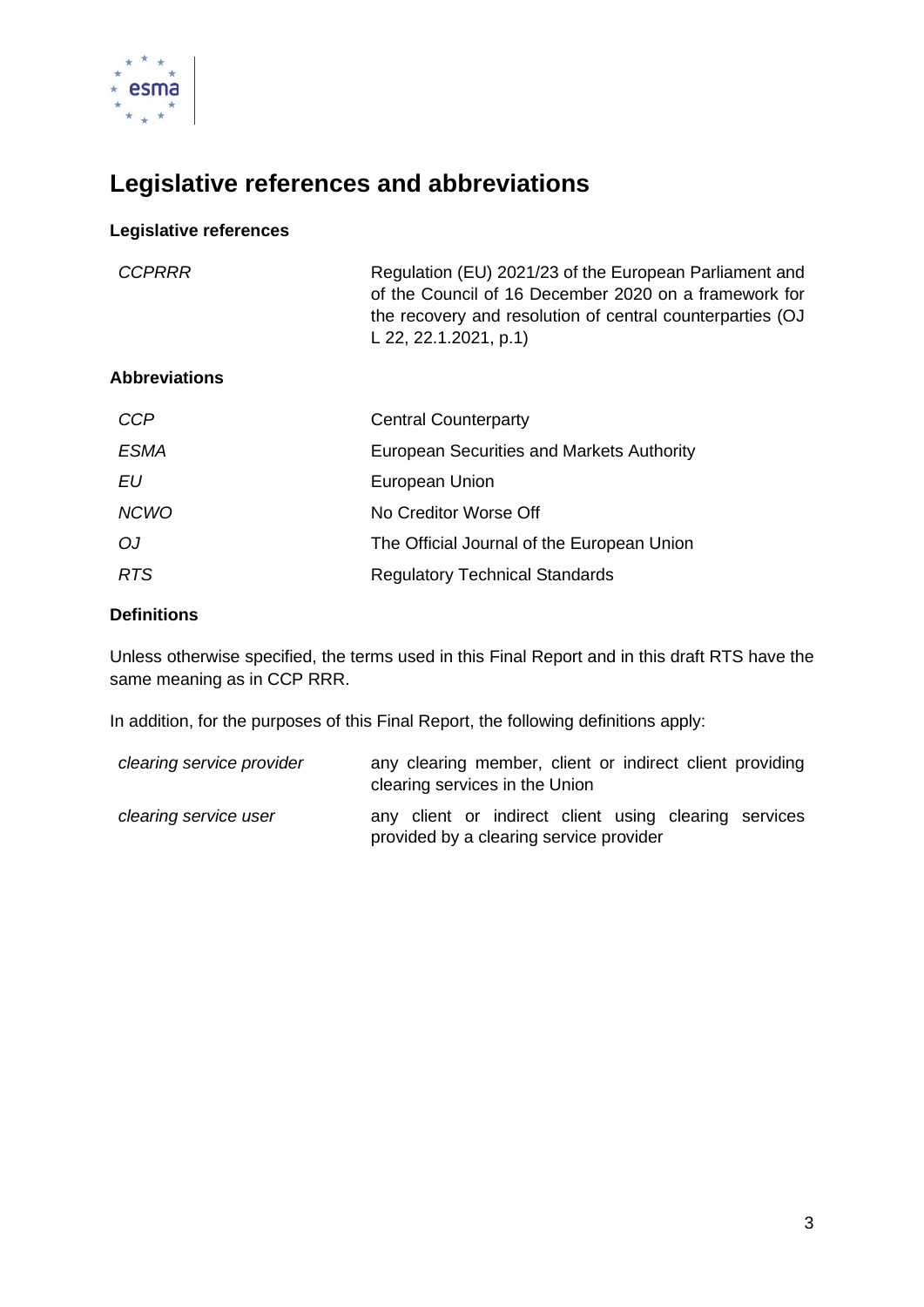

# <span id="page-3-0"></span>**Legislative references and abbreviations**

#### **Legislative references**

| <b>CCPRRR</b>        | Regulation (EU) 2021/23 of the European Parliament and<br>of the Council of 16 December 2020 on a framework for<br>the recovery and resolution of central counterparties (OJ<br>L 22, 22.1.2021, p.1) |
|----------------------|-------------------------------------------------------------------------------------------------------------------------------------------------------------------------------------------------------|
| <b>Abbreviations</b> |                                                                                                                                                                                                       |
| <b>CCP</b>           | <b>Central Counterparty</b>                                                                                                                                                                           |
| <i>ESMA</i>          | European Securities and Markets Authority                                                                                                                                                             |
| EIJ                  | European Union                                                                                                                                                                                        |
| <b>NCWO</b>          | No Creditor Worse Off                                                                                                                                                                                 |
| OJ                   | The Official Journal of the European Union                                                                                                                                                            |
|                      |                                                                                                                                                                                                       |

#### **Definitions**

Unless otherwise specified, the terms used in this Final Report and in this draft RTS have the same meaning as in CCP RRR.

In addition, for the purposes of this Final Report, the following definitions apply:

**RTS** Regulatory Technical Standards

| clearing service provider | any clearing member, client or indirect client providing<br>clearing services in the Union       |  |  |  |
|---------------------------|--------------------------------------------------------------------------------------------------|--|--|--|
| clearing service user     | any client or indirect client using clearing services<br>provided by a clearing service provider |  |  |  |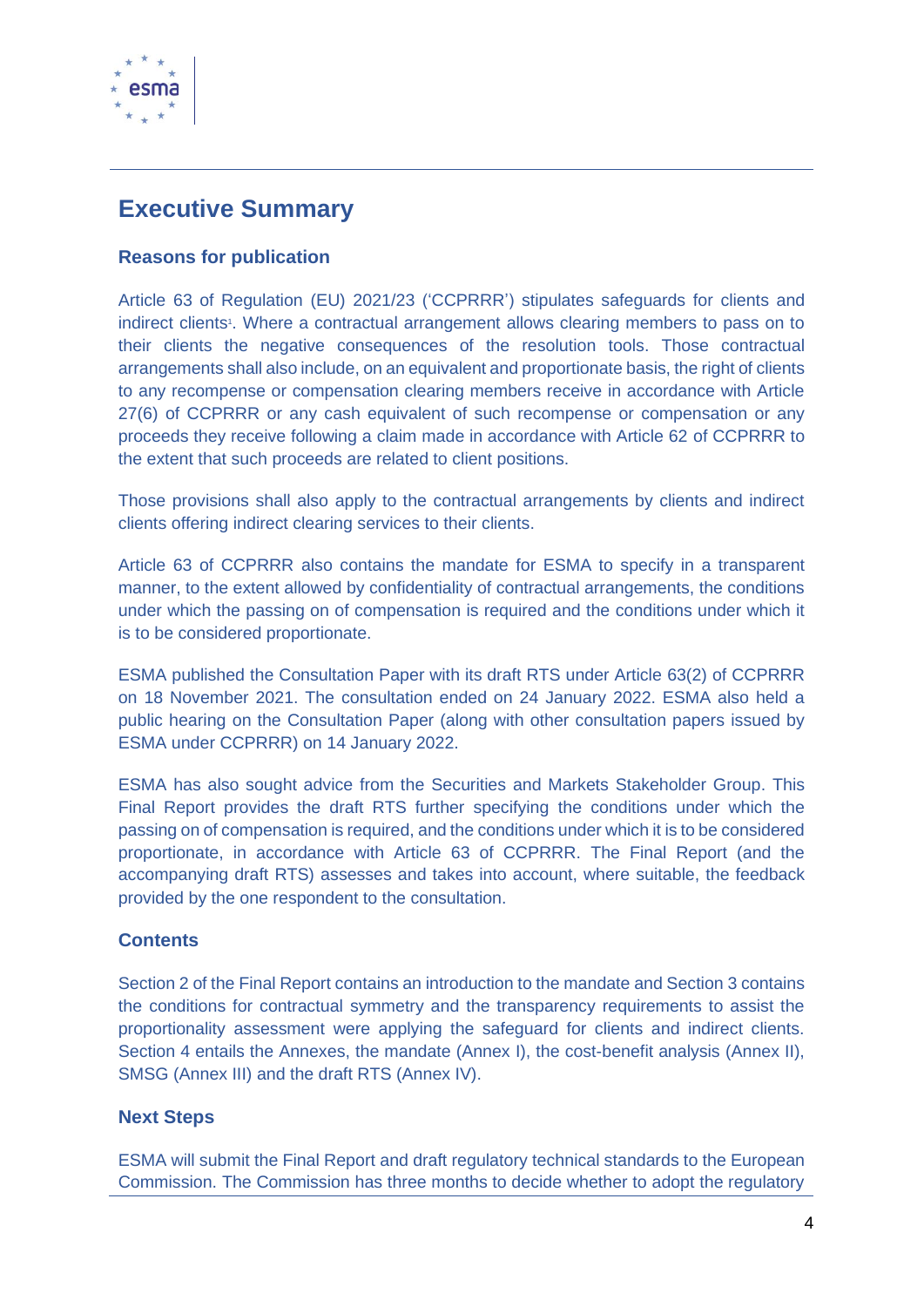

# <span id="page-4-0"></span>**Executive Summary**

### **Reasons for publication**

Article 63 of Regulation (EU) 2021/23 ('CCPRRR') stipulates safeguards for clients and indirect clients<sup>1</sup>. Where a contractual arrangement allows clearing members to pass on to their clients the negative consequences of the resolution tools. Those contractual arrangements shall also include, on an equivalent and proportionate basis, the right of clients to any recompense or compensation clearing members receive in accordance with Article 27(6) of CCPRRR or any cash equivalent of such recompense or compensation or any proceeds they receive following a claim made in accordance with Article 62 of CCPRRR to the extent that such proceeds are related to client positions.

Those provisions shall also apply to the contractual arrangements by clients and indirect clients offering indirect clearing services to their clients.

Article 63 of CCPRRR also contains the mandate for ESMA to specify in a transparent manner, to the extent allowed by confidentiality of contractual arrangements, the conditions under which the passing on of compensation is required and the conditions under which it is to be considered proportionate.

ESMA published the Consultation Paper with its draft RTS under Article 63(2) of CCPRRR on 18 November 2021. The consultation ended on 24 January 2022. ESMA also held a public hearing on the Consultation Paper (along with other consultation papers issued by ESMA under CCPRRR) on 14 January 2022.

ESMA has also sought advice from the Securities and Markets Stakeholder Group. This Final Report provides the draft RTS further specifying the conditions under which the passing on of compensation is required, and the conditions under which it is to be considered proportionate, in accordance with Article 63 of CCPRRR. The Final Report (and the accompanying draft RTS) assesses and takes into account, where suitable, the feedback provided by the one respondent to the consultation.

#### **Contents**

Section 2 of the Final Report contains an introduction to the mandate and Section 3 contains the conditions for contractual symmetry and the transparency requirements to assist the proportionality assessment were applying the safeguard for clients and indirect clients. Section 4 entails the Annexes, the mandate (Annex I), the cost-benefit analysis (Annex II), SMSG (Annex III) and the draft RTS (Annex IV).

#### **Next Steps**

ESMA will submit the Final Report and draft regulatory technical standards to the European Commission. The Commission has three months to decide whether to adopt the regulatory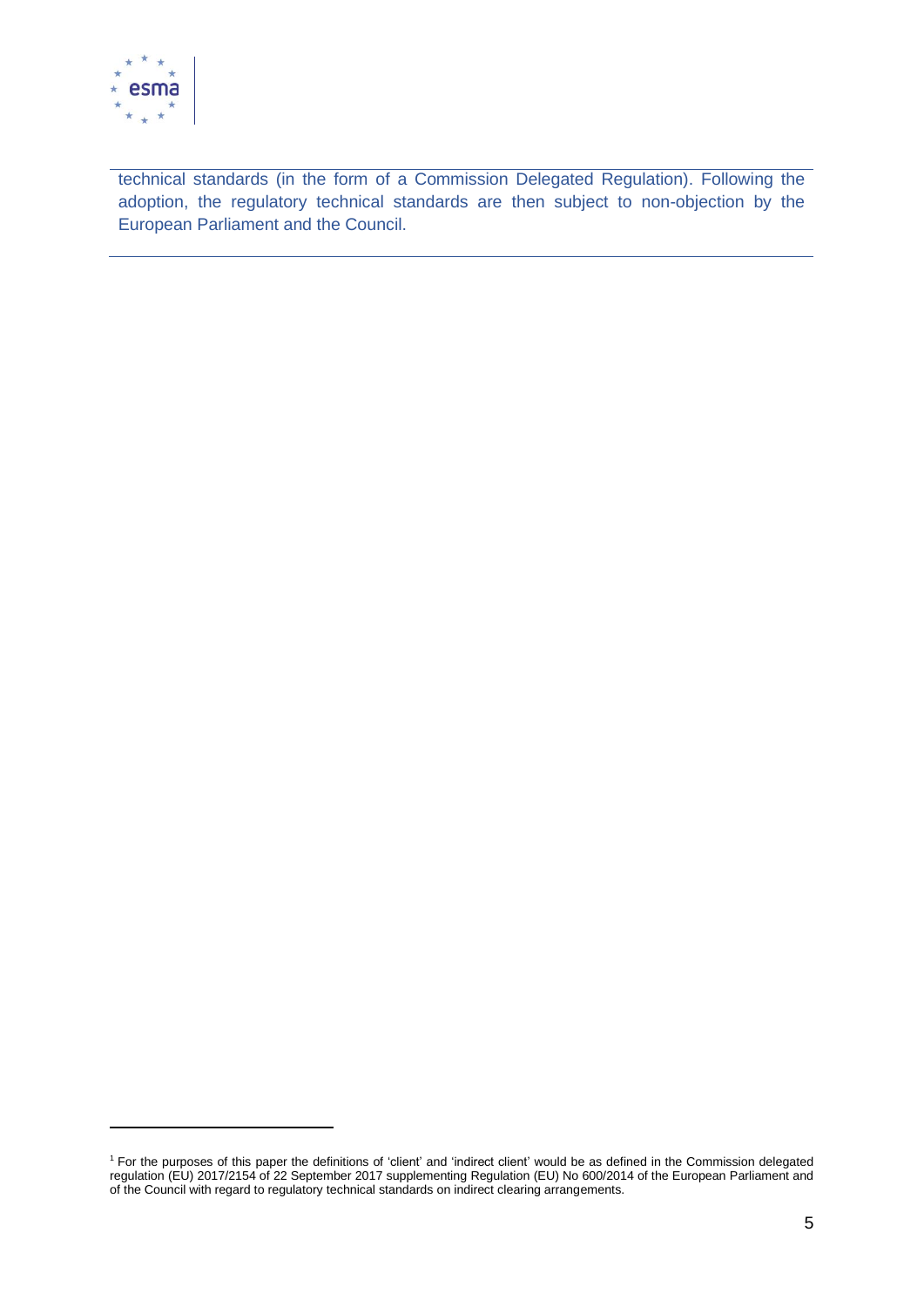

technical standards (in the form of a Commission Delegated Regulation). Following the adoption, the regulatory technical standards are then subject to non-objection by the European Parliament and the Council.

<sup>&</sup>lt;sup>1</sup> For the purposes of this paper the definitions of 'client' and 'indirect client' would be as defined in the Commission delegated regulation (EU) 2017/2154 of 22 September 2017 supplementing Regulation (EU) No 600/2014 of the European Parliament and of the Council with regard to regulatory technical standards on indirect clearing arrangements.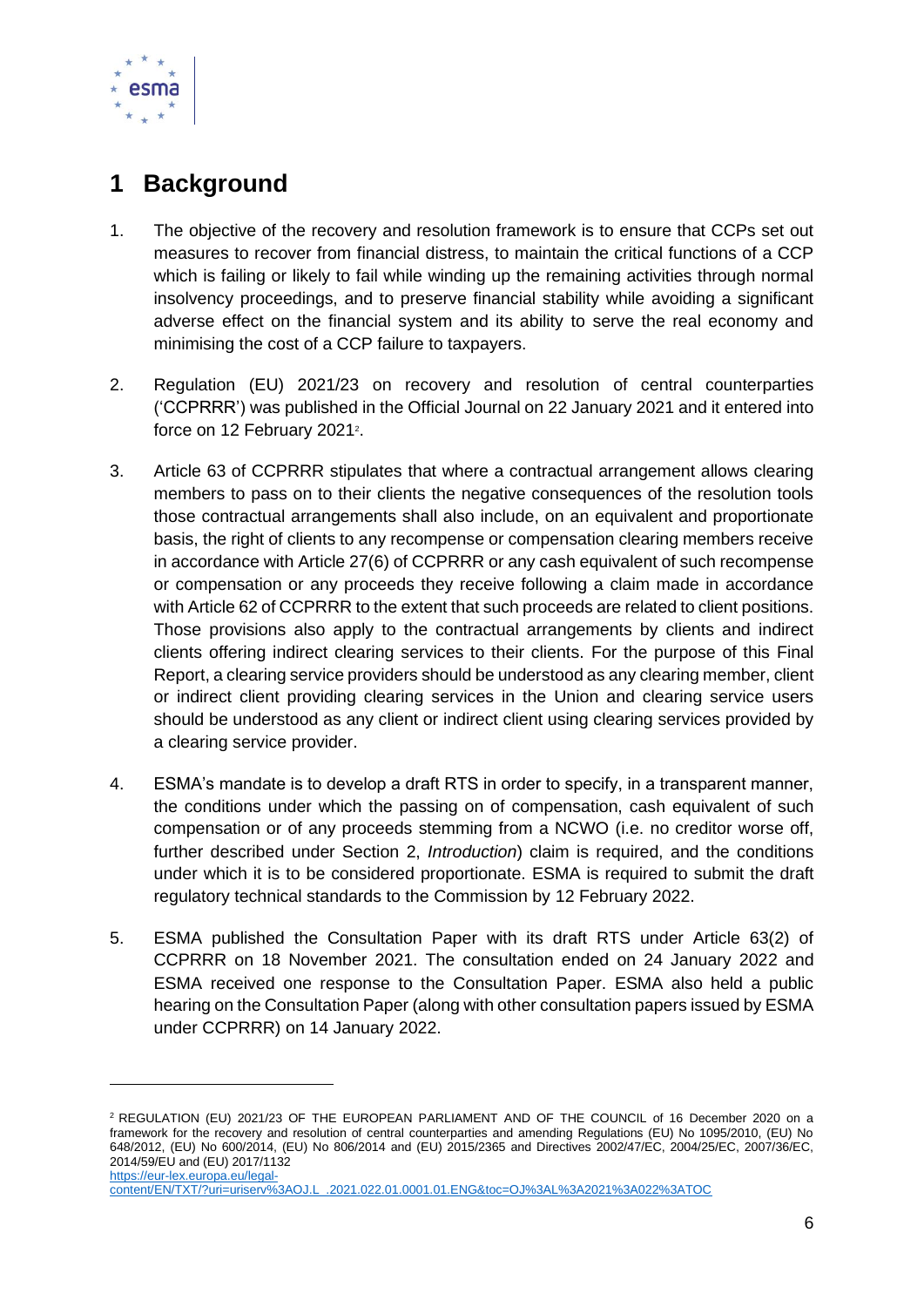

# <span id="page-6-0"></span>**1 Background**

- 1. The objective of the recovery and resolution framework is to ensure that CCPs set out measures to recover from financial distress, to maintain the critical functions of a CCP which is failing or likely to fail while winding up the remaining activities through normal insolvency proceedings, and to preserve financial stability while avoiding a significant adverse effect on the financial system and its ability to serve the real economy and minimising the cost of a CCP failure to taxpayers.
- 2. Regulation (EU) 2021/23 on recovery and resolution of central counterparties ('CCPRRR') was published in the Official Journal on 22 January 2021 and it entered into force on 12 February 2021<sup>2</sup>.
- 3. Article 63 of CCPRRR stipulates that where a contractual arrangement allows clearing members to pass on to their clients the negative consequences of the resolution tools those contractual arrangements shall also include, on an equivalent and proportionate basis, the right of clients to any recompense or compensation clearing members receive in accordance with Article 27(6) of CCPRRR or any cash equivalent of such recompense or compensation or any proceeds they receive following a claim made in accordance with Article 62 of CCPRRR to the extent that such proceeds are related to client positions. Those provisions also apply to the contractual arrangements by clients and indirect clients offering indirect clearing services to their clients. For the purpose of this Final Report, a clearing service providers should be understood as any clearing member, client or indirect client providing clearing services in the Union and clearing service users should be understood as any client or indirect client using clearing services provided by a clearing service provider.
- 4. ESMA's mandate is to develop a draft RTS in order to specify, in a transparent manner, the conditions under which the passing on of compensation, cash equivalent of such compensation or of any proceeds stemming from a NCWO (i.e. no creditor worse off, further described under Section 2, *Introduction*) claim is required, and the conditions under which it is to be considered proportionate. ESMA is required to submit the draft regulatory technical standards to the Commission by 12 February 2022.
- 5. ESMA published the Consultation Paper with its draft RTS under Article 63(2) of CCPRRR on 18 November 2021. The consultation ended on 24 January 2022 and ESMA received one response to the Consultation Paper. ESMA also held a public hearing on the Consultation Paper (along with other consultation papers issued by ESMA under CCPRRR) on 14 January 2022.

<sup>2</sup> REGULATION (EU) 2021/23 OF THE EUROPEAN PARLIAMENT AND OF THE COUNCIL of 16 December 2020 on a framework for the recovery and resolution of central counterparties and amending Regulations (EU) No 1095/2010, (EU) No 648/2012, (EU) No 600/2014, (EU) No 806/2014 and (EU) 2015/2365 and Directives 2002/47/EC, 2004/25/EC, 2007/36/EC, 2014/59/EU and (EU) 2017/1132 [https://eur-lex.europa.eu/legal-](https://eur-lex.europa.eu/legal-content/EN/TXT/?uri=uriserv%3AOJ.L_.2021.022.01.0001.01.ENG&toc=OJ%3AL%3A2021%3A022%3ATOC)

[content/EN/TXT/?uri=uriserv%3AOJ.L\\_.2021.022.01.0001.01.ENG&toc=OJ%3AL%3A2021%3A022%3ATOC](https://eur-lex.europa.eu/legal-content/EN/TXT/?uri=uriserv%3AOJ.L_.2021.022.01.0001.01.ENG&toc=OJ%3AL%3A2021%3A022%3ATOC)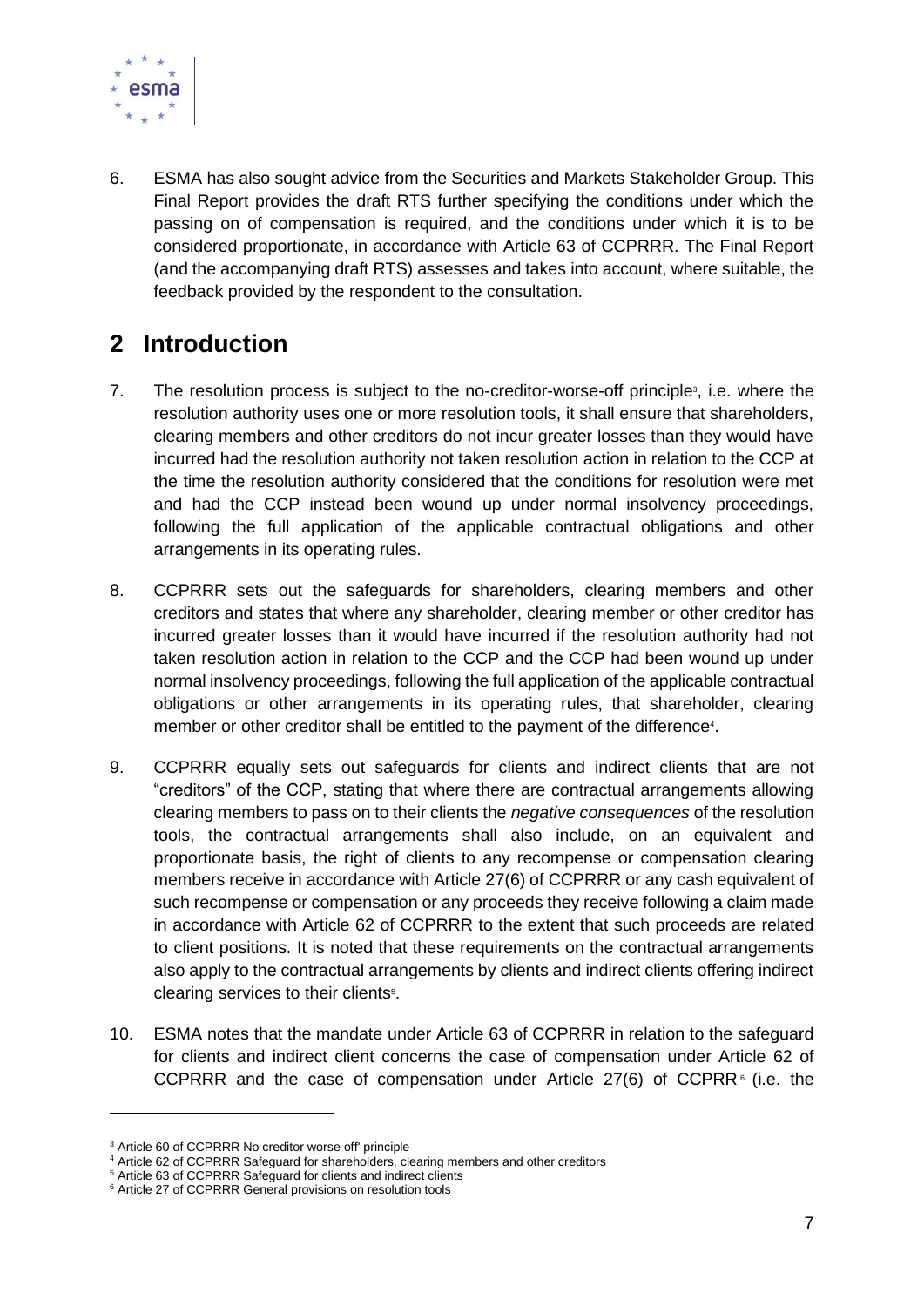

6. ESMA has also sought advice from the Securities and Markets Stakeholder Group. This Final Report provides the draft RTS further specifying the conditions under which the passing on of compensation is required, and the conditions under which it is to be considered proportionate, in accordance with Article 63 of CCPRRR. The Final Report (and the accompanying draft RTS) assesses and takes into account, where suitable, the feedback provided by the respondent to the consultation.

# <span id="page-7-0"></span>**2 Introduction**

- 7. The resolution process is subject to the no-creditor-worse-off principle<sup>3</sup>, i.e. where the resolution authority uses one or more resolution tools, it shall ensure that shareholders, clearing members and other creditors do not incur greater losses than they would have incurred had the resolution authority not taken resolution action in relation to the CCP at the time the resolution authority considered that the conditions for resolution were met and had the CCP instead been wound up under normal insolvency proceedings, following the full application of the applicable contractual obligations and other arrangements in its operating rules.
- 8. CCPRRR sets out the safeguards for shareholders, clearing members and other creditors and states that where any shareholder, clearing member or other creditor has incurred greater losses than it would have incurred if the resolution authority had not taken resolution action in relation to the CCP and the CCP had been wound up under normal insolvency proceedings, following the full application of the applicable contractual obligations or other arrangements in its operating rules, that shareholder, clearing member or other creditor shall be entitled to the payment of the difference<sup>4</sup>.
- 9. CCPRRR equally sets out safeguards for clients and indirect clients that are not "creditors" of the CCP, stating that where there are contractual arrangements allowing clearing members to pass on to their clients the *negative consequences* of the resolution tools, the contractual arrangements shall also include, on an equivalent and proportionate basis, the right of clients to any recompense or compensation clearing members receive in accordance with Article 27(6) of CCPRRR or any cash equivalent of such recompense or compensation or any proceeds they receive following a claim made in accordance with Article 62 of CCPRRR to the extent that such proceeds are related to client positions. It is noted that these requirements on the contractual arrangements also apply to the contractual arrangements by clients and indirect clients offering indirect clearing services to their clients<sup>5</sup>.
- 10. ESMA notes that the mandate under Article 63 of CCPRRR in relation to the safeguard for clients and indirect client concerns the case of compensation under Article 62 of CCPRRR and the case of compensation under Article  $27(6)$  of CCPRR $6$  (i.e. the

<sup>3</sup> Article 60 of CCPRRR No creditor worse off' principle

<sup>4</sup> Article 62 of CCPRRR Safeguard for shareholders, clearing members and other creditors

<sup>5</sup> Article 63 of CCPRRR Safeguard for clients and indirect clients

<sup>&</sup>lt;sup>6</sup> Article 27 of CCPRRR General provisions on resolution tools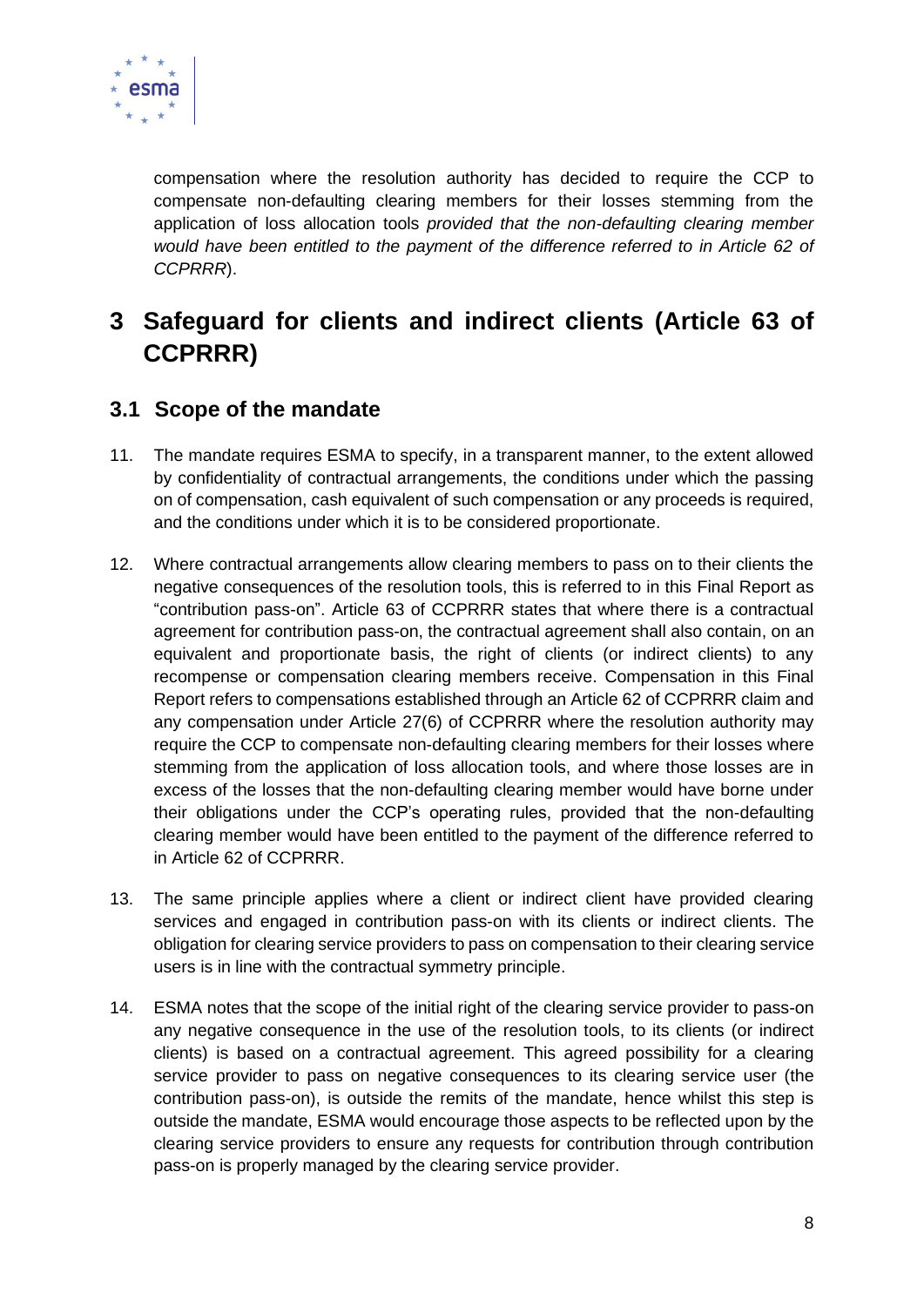

compensation where the resolution authority has decided to require the CCP to compensate non-defaulting clearing members for their losses stemming from the application of loss allocation tools *provided that the non-defaulting clearing member would have been entitled to the payment of the difference referred to in Article 62 of CCPRRR*).

# <span id="page-8-0"></span>**3 Safeguard for clients and indirect clients (Article 63 of CCPRRR)**

# <span id="page-8-1"></span>**3.1 Scope of the mandate**

- 11. The mandate requires ESMA to specify, in a transparent manner, to the extent allowed by confidentiality of contractual arrangements, the conditions under which the passing on of compensation, cash equivalent of such compensation or any proceeds is required, and the conditions under which it is to be considered proportionate.
- 12. Where contractual arrangements allow clearing members to pass on to their clients the negative consequences of the resolution tools, this is referred to in this Final Report as "contribution pass-on". Article 63 of CCPRRR states that where there is a contractual agreement for contribution pass-on, the contractual agreement shall also contain, on an equivalent and proportionate basis, the right of clients (or indirect clients) to any recompense or compensation clearing members receive. Compensation in this Final Report refers to compensations established through an Article 62 of CCPRRR claim and any compensation under Article 27(6) of CCPRRR where the resolution authority may require the CCP to compensate non-defaulting clearing members for their losses where stemming from the application of loss allocation tools, and where those losses are in excess of the losses that the non-defaulting clearing member would have borne under their obligations under the CCP's operating rules, provided that the non-defaulting clearing member would have been entitled to the payment of the difference referred to in Article 62 of CCPRRR.
- 13. The same principle applies where a client or indirect client have provided clearing services and engaged in contribution pass-on with its clients or indirect clients. The obligation for clearing service providers to pass on compensation to their clearing service users is in line with the contractual symmetry principle.
- 14. ESMA notes that the scope of the initial right of the clearing service provider to pass-on any negative consequence in the use of the resolution tools, to its clients (or indirect clients) is based on a contractual agreement. This agreed possibility for a clearing service provider to pass on negative consequences to its clearing service user (the contribution pass-on), is outside the remits of the mandate, hence whilst this step is outside the mandate, ESMA would encourage those aspects to be reflected upon by the clearing service providers to ensure any requests for contribution through contribution pass-on is properly managed by the clearing service provider.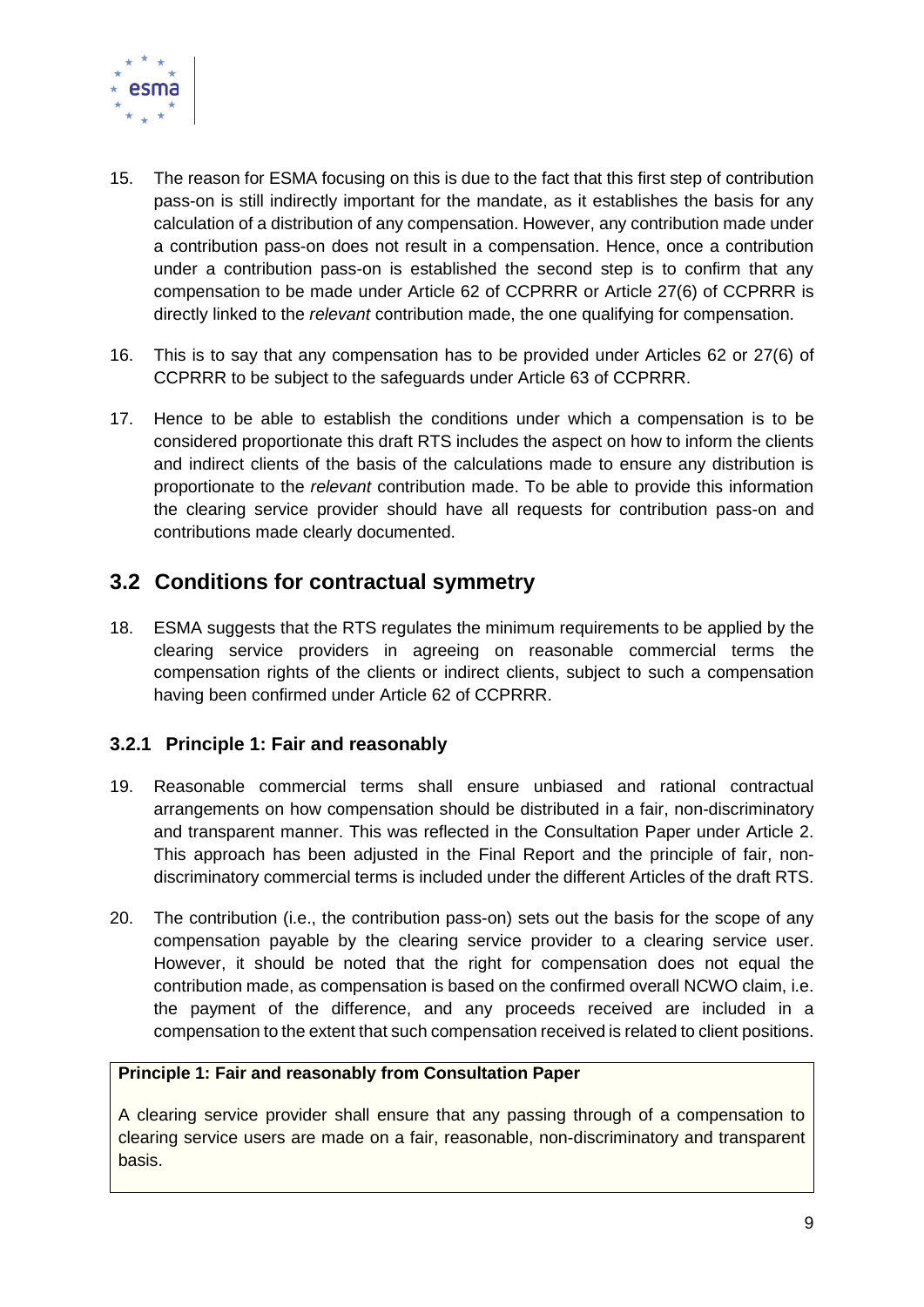

- 15. The reason for ESMA focusing on this is due to the fact that this first step of contribution pass-on is still indirectly important for the mandate, as it establishes the basis for any calculation of a distribution of any compensation. However, any contribution made under a contribution pass-on does not result in a compensation. Hence, once a contribution under a contribution pass-on is established the second step is to confirm that any compensation to be made under Article 62 of CCPRRR or Article 27(6) of CCPRRR is directly linked to the *relevant* contribution made, the one qualifying for compensation.
- 16. This is to say that any compensation has to be provided under Articles 62 or 27(6) of CCPRRR to be subject to the safeguards under Article 63 of CCPRRR.
- 17. Hence to be able to establish the conditions under which a compensation is to be considered proportionate this draft RTS includes the aspect on how to inform the clients and indirect clients of the basis of the calculations made to ensure any distribution is proportionate to the *relevant* contribution made. To be able to provide this information the clearing service provider should have all requests for contribution pass-on and contributions made clearly documented.

# <span id="page-9-0"></span>**3.2 Conditions for contractual symmetry**

18. ESMA suggests that the RTS regulates the minimum requirements to be applied by the clearing service providers in agreeing on reasonable commercial terms the compensation rights of the clients or indirect clients, subject to such a compensation having been confirmed under Article 62 of CCPRRR.

### <span id="page-9-1"></span>**3.2.1 Principle 1: Fair and reasonably**

- 19. Reasonable commercial terms shall ensure unbiased and rational contractual arrangements on how compensation should be distributed in a fair, non-discriminatory and transparent manner. This was reflected in the Consultation Paper under Article 2. This approach has been adjusted in the Final Report and the principle of fair, nondiscriminatory commercial terms is included under the different Articles of the draft RTS.
- 20. The contribution (i.e., the contribution pass-on) sets out the basis for the scope of any compensation payable by the clearing service provider to a clearing service user. However, it should be noted that the right for compensation does not equal the contribution made, as compensation is based on the confirmed overall NCWO claim, i.e. the payment of the difference, and any proceeds received are included in a compensation to the extent that such compensation received is related to client positions.

#### **Principle 1: Fair and reasonably from Consultation Paper**

A clearing service provider shall ensure that any passing through of a compensation to clearing service users are made on a fair, reasonable, non-discriminatory and transparent basis.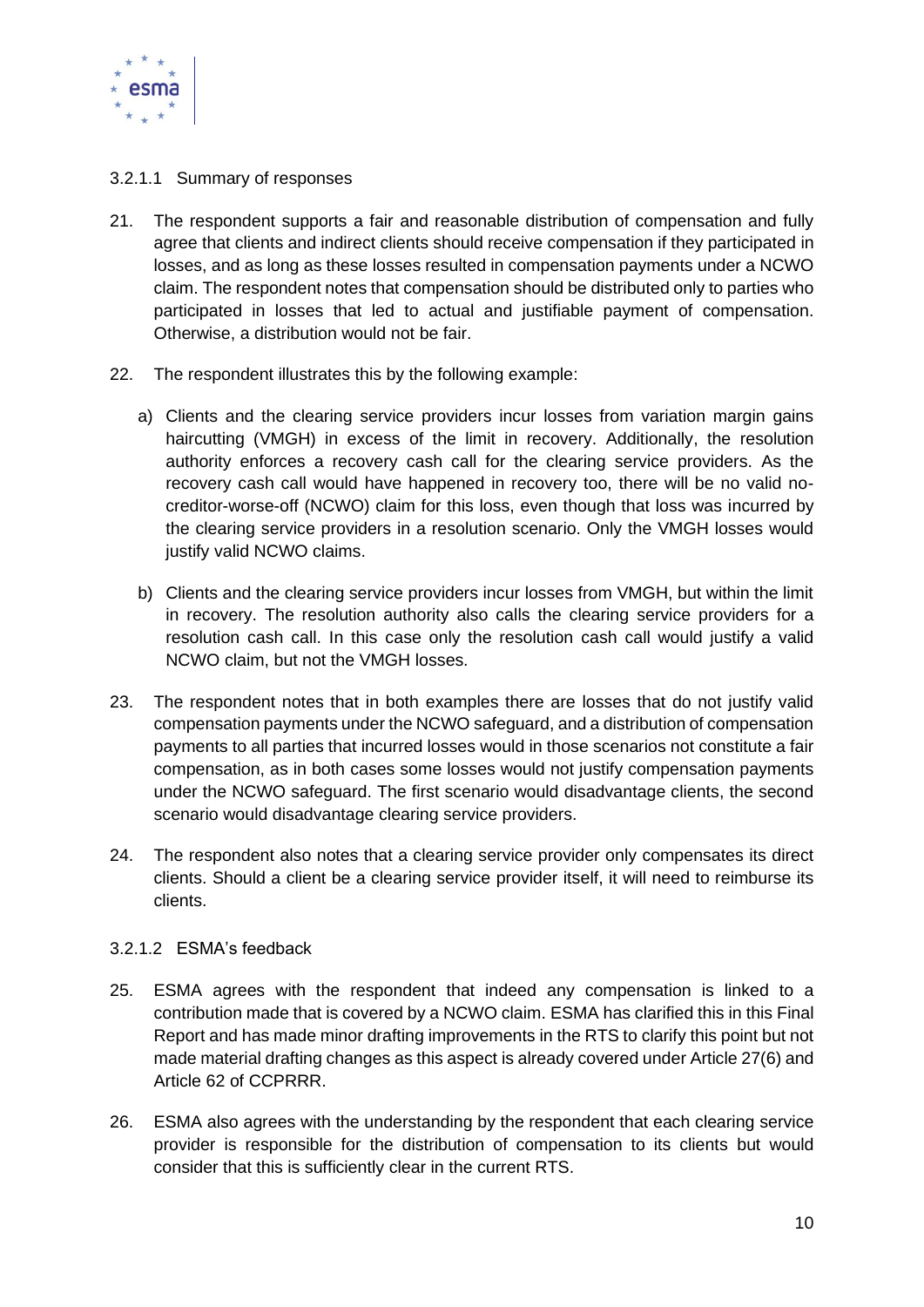

#### <span id="page-10-0"></span>3.2.1.1 Summary of responses

- 21. The respondent supports a fair and reasonable distribution of compensation and fully agree that clients and indirect clients should receive compensation if they participated in losses, and as long as these losses resulted in compensation payments under a NCWO claim. The respondent notes that compensation should be distributed only to parties who participated in losses that led to actual and justifiable payment of compensation. Otherwise, a distribution would not be fair.
- 22. The respondent illustrates this by the following example:
	- a) Clients and the clearing service providers incur losses from variation margin gains haircutting (VMGH) in excess of the limit in recovery. Additionally, the resolution authority enforces a recovery cash call for the clearing service providers. As the recovery cash call would have happened in recovery too, there will be no valid nocreditor-worse-off (NCWO) claim for this loss, even though that loss was incurred by the clearing service providers in a resolution scenario. Only the VMGH losses would justify valid NCWO claims.
	- b) Clients and the clearing service providers incur losses from VMGH, but within the limit in recovery. The resolution authority also calls the clearing service providers for a resolution cash call. In this case only the resolution cash call would justify a valid NCWO claim, but not the VMGH losses.
- 23. The respondent notes that in both examples there are losses that do not justify valid compensation payments under the NCWO safeguard, and a distribution of compensation payments to all parties that incurred losses would in those scenarios not constitute a fair compensation, as in both cases some losses would not justify compensation payments under the NCWO safeguard. The first scenario would disadvantage clients, the second scenario would disadvantage clearing service providers.
- 24. The respondent also notes that a clearing service provider only compensates its direct clients. Should a client be a clearing service provider itself, it will need to reimburse its clients.

#### <span id="page-10-1"></span>3.2.1.2 ESMA's feedback

- 25. ESMA agrees with the respondent that indeed any compensation is linked to a contribution made that is covered by a NCWO claim. ESMA has clarified this in this Final Report and has made minor drafting improvements in the RTS to clarify this point but not made material drafting changes as this aspect is already covered under Article 27(6) and Article 62 of CCPRRR.
- 26. ESMA also agrees with the understanding by the respondent that each clearing service provider is responsible for the distribution of compensation to its clients but would consider that this is sufficiently clear in the current RTS.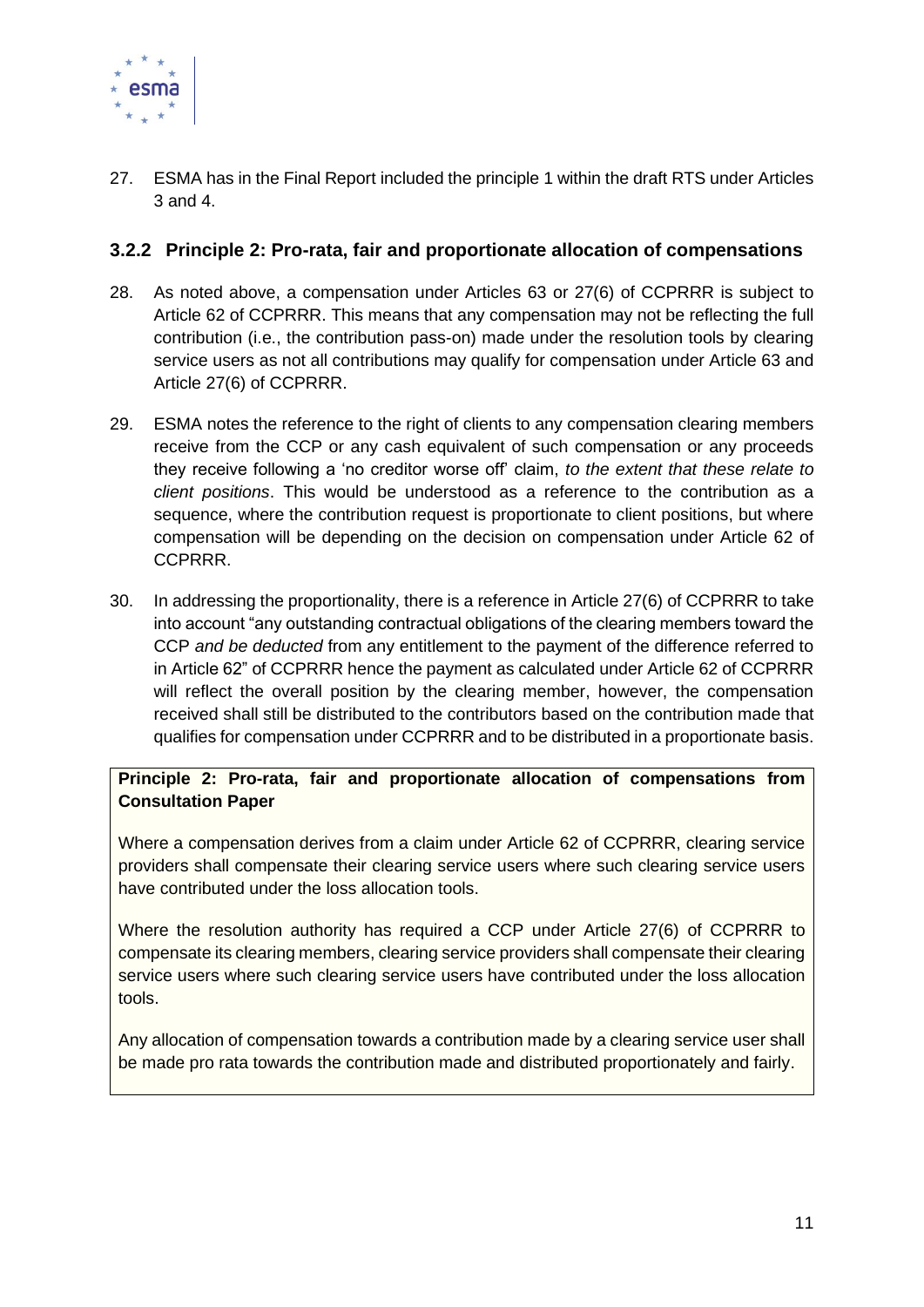

27. ESMA has in the Final Report included the principle 1 within the draft RTS under Articles 3 and 4.

### <span id="page-11-0"></span>**3.2.2 Principle 2: Pro-rata, fair and proportionate allocation of compensations**

- 28. As noted above, a compensation under Articles 63 or 27(6) of CCPRRR is subject to Article 62 of CCPRRR. This means that any compensation may not be reflecting the full contribution (i.e., the contribution pass-on) made under the resolution tools by clearing service users as not all contributions may qualify for compensation under Article 63 and Article 27(6) of CCPRRR.
- 29. ESMA notes the reference to the right of clients to any compensation clearing members receive from the CCP or any cash equivalent of such compensation or any proceeds they receive following a 'no creditor worse off' claim, *to the extent that these relate to client positions*. This would be understood as a reference to the contribution as a sequence, where the contribution request is proportionate to client positions, but where compensation will be depending on the decision on compensation under Article 62 of CCPRRR.
- 30. In addressing the proportionality, there is a reference in Article 27(6) of CCPRRR to take into account "any outstanding contractual obligations of the clearing members toward the CCP *and be deducted* from any entitlement to the payment of the difference referred to in Article 62" of CCPRRR hence the payment as calculated under Article 62 of CCPRRR will reflect the overall position by the clearing member, however, the compensation received shall still be distributed to the contributors based on the contribution made that qualifies for compensation under CCPRRR and to be distributed in a proportionate basis.

**Principle 2: Pro-rata, fair and proportionate allocation of compensations from Consultation Paper**

Where a compensation derives from a claim under Article 62 of CCPRRR, clearing service providers shall compensate their clearing service users where such clearing service users have contributed under the loss allocation tools.

Where the resolution authority has required a CCP under Article 27(6) of CCPRRR to compensate its clearing members, clearing service providers shall compensate their clearing service users where such clearing service users have contributed under the loss allocation tools.

Any allocation of compensation towards a contribution made by a clearing service user shall be made pro rata towards the contribution made and distributed proportionately and fairly.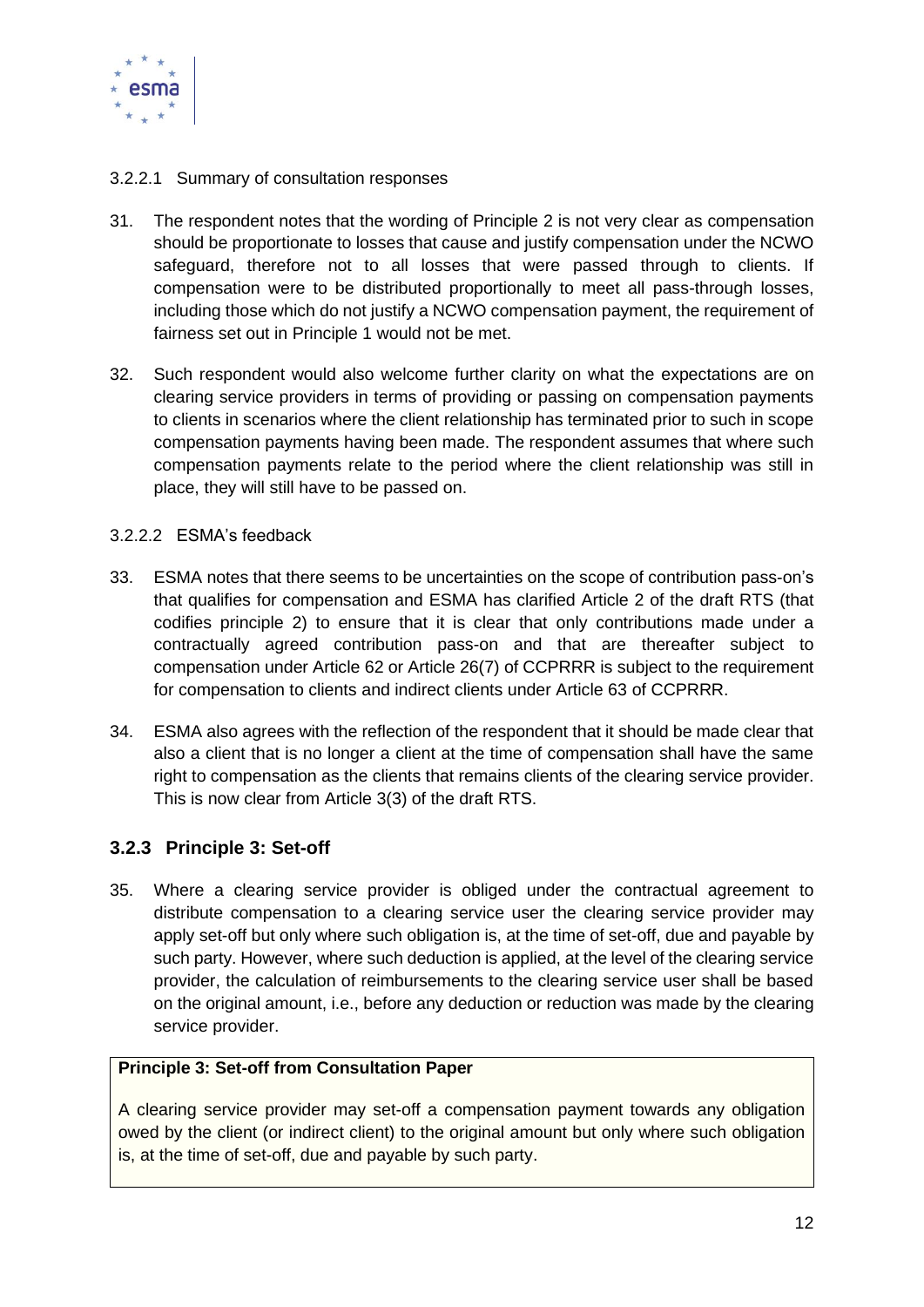

#### <span id="page-12-0"></span>3.2.2.1 Summary of consultation responses

- 31. The respondent notes that the wording of Principle 2 is not very clear as compensation should be proportionate to losses that cause and justify compensation under the NCWO safeguard, therefore not to all losses that were passed through to clients. If compensation were to be distributed proportionally to meet all pass-through losses, including those which do not justify a NCWO compensation payment, the requirement of fairness set out in Principle 1 would not be met.
- 32. Such respondent would also welcome further clarity on what the expectations are on clearing service providers in terms of providing or passing on compensation payments to clients in scenarios where the client relationship has terminated prior to such in scope compensation payments having been made. The respondent assumes that where such compensation payments relate to the period where the client relationship was still in place, they will still have to be passed on.

#### <span id="page-12-1"></span>3.2.2.2 ESMA's feedback

- 33. ESMA notes that there seems to be uncertainties on the scope of contribution pass-on's that qualifies for compensation and ESMA has clarified Article 2 of the draft RTS (that codifies principle 2) to ensure that it is clear that only contributions made under a contractually agreed contribution pass-on and that are thereafter subject to compensation under Article 62 or Article 26(7) of CCPRRR is subject to the requirement for compensation to clients and indirect clients under Article 63 of CCPRRR.
- 34. ESMA also agrees with the reflection of the respondent that it should be made clear that also a client that is no longer a client at the time of compensation shall have the same right to compensation as the clients that remains clients of the clearing service provider. This is now clear from Article 3(3) of the draft RTS.

### <span id="page-12-2"></span>**3.2.3 Principle 3: Set-off**

35. Where a clearing service provider is obliged under the contractual agreement to distribute compensation to a clearing service user the clearing service provider may apply set-off but only where such obligation is, at the time of set-off, due and payable by such party. However, where such deduction is applied, at the level of the clearing service provider, the calculation of reimbursements to the clearing service user shall be based on the original amount, i.e., before any deduction or reduction was made by the clearing service provider.

#### **Principle 3: Set-off from Consultation Paper**

A clearing service provider may set-off a compensation payment towards any obligation owed by the client (or indirect client) to the original amount but only where such obligation is, at the time of set-off, due and payable by such party.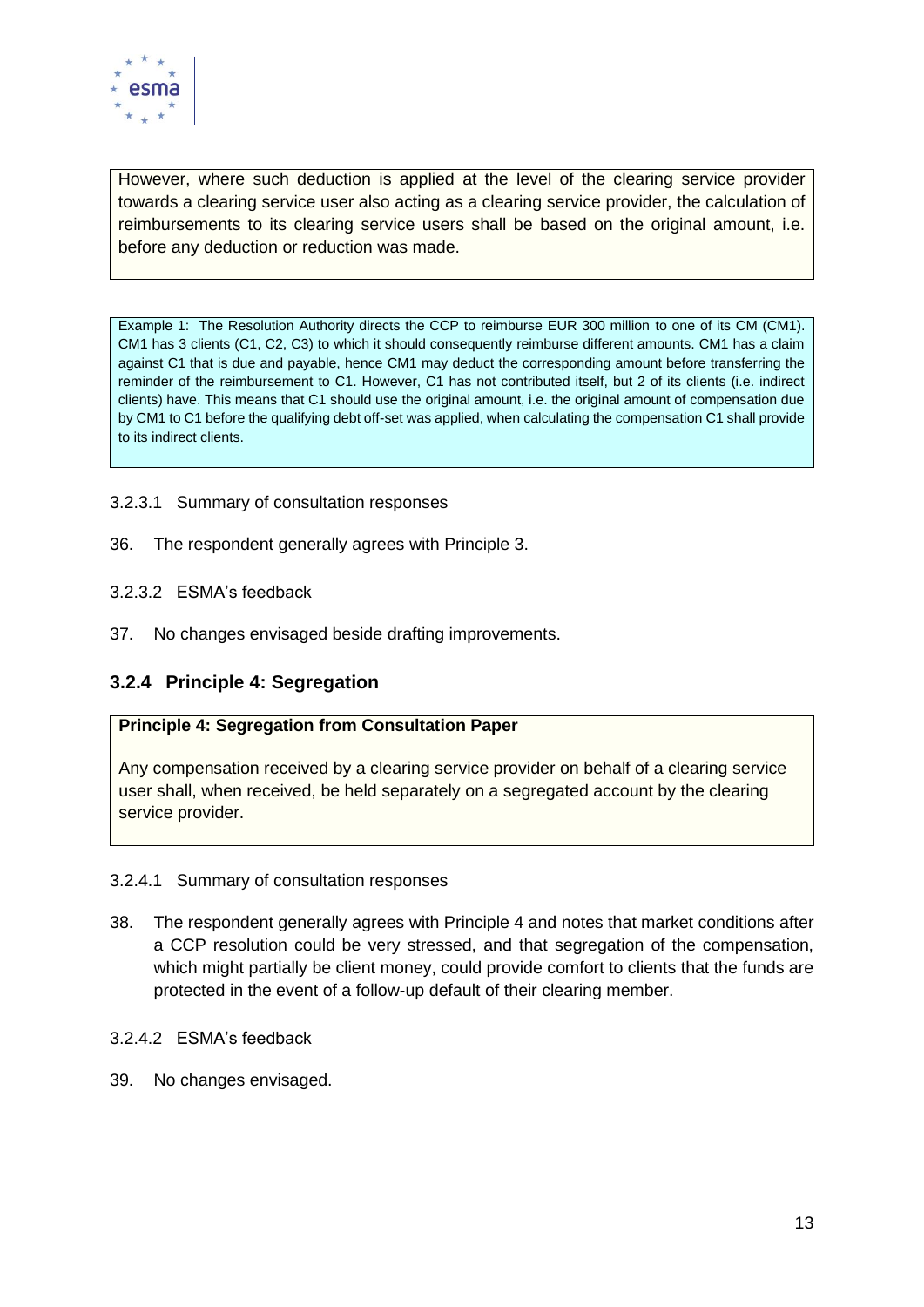

However, where such deduction is applied at the level of the clearing service provider towards a clearing service user also acting as a clearing service provider, the calculation of reimbursements to its clearing service users shall be based on the original amount, i.e. before any deduction or reduction was made.

Example 1: The Resolution Authority directs the CCP to reimburse EUR 300 million to one of its CM (CM1). CM1 has 3 clients (C1, C2, C3) to which it should consequently reimburse different amounts. CM1 has a claim against C1 that is due and payable, hence CM1 may deduct the corresponding amount before transferring the reminder of the reimbursement to C1. However, C1 has not contributed itself, but 2 of its clients (i.e. indirect clients) have. This means that C1 should use the original amount, i.e. the original amount of compensation due by CM1 to C1 before the qualifying debt off-set was applied, when calculating the compensation C1 shall provide to its indirect clients.

- <span id="page-13-0"></span>3.2.3.1 Summary of consultation responses
- <span id="page-13-1"></span>36. The respondent generally agrees with Principle 3.
- 3.2.3.2 ESMA's feedback
- <span id="page-13-2"></span>37. No changes envisaged beside drafting improvements.

### **3.2.4 Principle 4: Segregation**

#### **Principle 4: Segregation from Consultation Paper**

Any compensation received by a clearing service provider on behalf of a clearing service user shall, when received, be held separately on a segregated account by the clearing service provider.

#### <span id="page-13-3"></span>3.2.4.1 Summary of consultation responses

- 38. The respondent generally agrees with Principle 4 and notes that market conditions after a CCP resolution could be very stressed, and that segregation of the compensation, which might partially be client money, could provide comfort to clients that the funds are protected in the event of a follow-up default of their clearing member.
- <span id="page-13-4"></span>3.2.4.2 ESMA's feedback
- 39. No changes envisaged.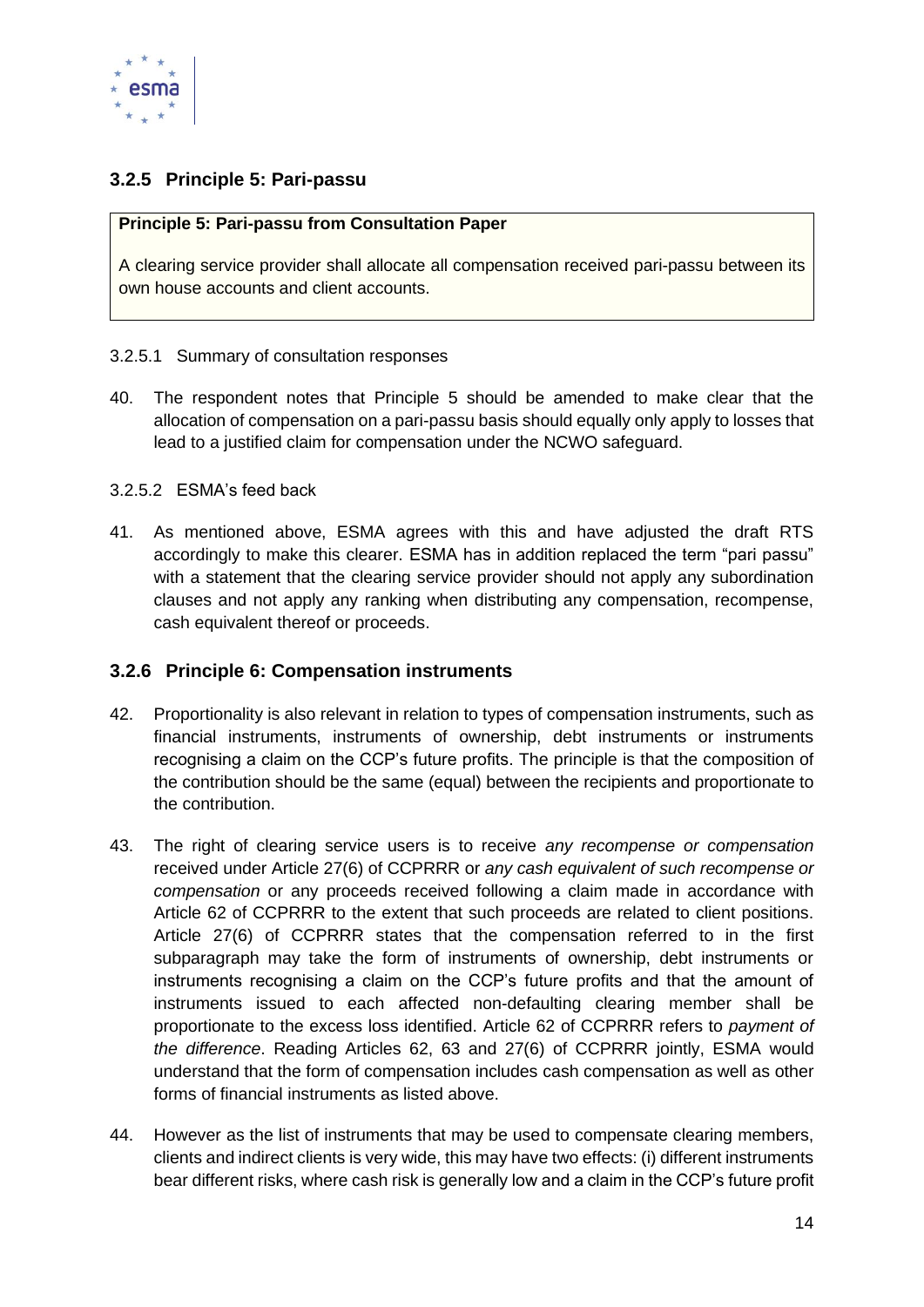

### <span id="page-14-0"></span>**3.2.5 Principle 5: Pari-passu**

#### **Principle 5: Pari-passu from Consultation Paper**

A clearing service provider shall allocate all compensation received pari-passu between its own house accounts and client accounts.

#### <span id="page-14-1"></span>3.2.5.1 Summary of consultation responses

40. The respondent notes that Principle 5 should be amended to make clear that the allocation of compensation on a pari-passu basis should equally only apply to losses that lead to a justified claim for compensation under the NCWO safeguard.

#### <span id="page-14-2"></span>3.2.5.2 ESMA's feed back

41. As mentioned above, ESMA agrees with this and have adjusted the draft RTS accordingly to make this clearer. ESMA has in addition replaced the term "pari passu" with a statement that the clearing service provider should not apply any subordination clauses and not apply any ranking when distributing any compensation, recompense, cash equivalent thereof or proceeds.

#### <span id="page-14-3"></span>**3.2.6 Principle 6: Compensation instruments**

- 42. Proportionality is also relevant in relation to types of compensation instruments, such as financial instruments, instruments of ownership, debt instruments or instruments recognising a claim on the CCP's future profits. The principle is that the composition of the contribution should be the same (equal) between the recipients and proportionate to the contribution.
- 43. The right of clearing service users is to receive *any recompense or compensation* received under Article 27(6) of CCPRRR or *any cash equivalent of such recompense or compensation* or any proceeds received following a claim made in accordance with Article 62 of CCPRRR to the extent that such proceeds are related to client positions. Article 27(6) of CCPRRR states that the compensation referred to in the first subparagraph may take the form of instruments of ownership, debt instruments or instruments recognising a claim on the CCP's future profits and that the amount of instruments issued to each affected non-defaulting clearing member shall be proportionate to the excess loss identified. Article 62 of CCPRRR refers to *payment of the difference*. Reading Articles 62, 63 and 27(6) of CCPRRR jointly, ESMA would understand that the form of compensation includes cash compensation as well as other forms of financial instruments as listed above.
- 44. However as the list of instruments that may be used to compensate clearing members, clients and indirect clients is very wide, this may have two effects: (i) different instruments bear different risks, where cash risk is generally low and a claim in the CCP's future profit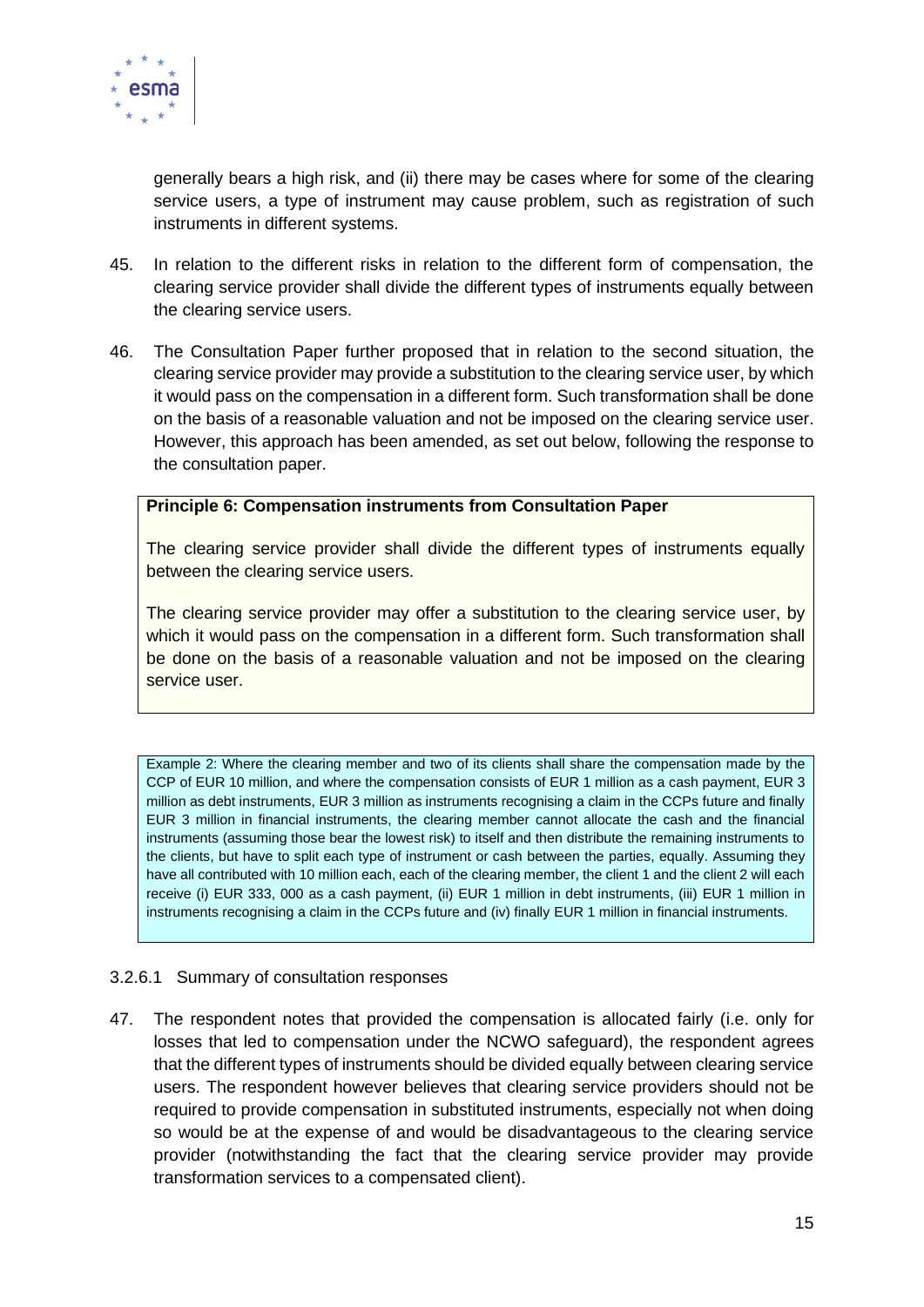

generally bears a high risk, and (ii) there may be cases where for some of the clearing service users, a type of instrument may cause problem, such as registration of such instruments in different systems.

- 45. In relation to the different risks in relation to the different form of compensation, the clearing service provider shall divide the different types of instruments equally between the clearing service users.
- 46. The Consultation Paper further proposed that in relation to the second situation, the clearing service provider may provide a substitution to the clearing service user, by which it would pass on the compensation in a different form. Such transformation shall be done on the basis of a reasonable valuation and not be imposed on the clearing service user. However, this approach has been amended, as set out below, following the response to the consultation paper.

#### **Principle 6: Compensation instruments from Consultation Paper**

The clearing service provider shall divide the different types of instruments equally between the clearing service users.

The clearing service provider may offer a substitution to the clearing service user, by which it would pass on the compensation in a different form. Such transformation shall be done on the basis of a reasonable valuation and not be imposed on the clearing service user.

Example 2: Where the clearing member and two of its clients shall share the compensation made by the CCP of EUR 10 million, and where the compensation consists of EUR 1 million as a cash payment, EUR 3 million as debt instruments, EUR 3 million as instruments recognising a claim in the CCPs future and finally EUR 3 million in financial instruments, the clearing member cannot allocate the cash and the financial instruments (assuming those bear the lowest risk) to itself and then distribute the remaining instruments to the clients, but have to split each type of instrument or cash between the parties, equally. Assuming they have all contributed with 10 million each, each of the clearing member, the client 1 and the client 2 will each receive (i) EUR 333, 000 as a cash payment, (ii) EUR 1 million in debt instruments, (iii) EUR 1 million in instruments recognising a claim in the CCPs future and (iv) finally EUR 1 million in financial instruments.

#### <span id="page-15-0"></span>3.2.6.1 Summary of consultation responses

47. The respondent notes that provided the compensation is allocated fairly (i.e. only for losses that led to compensation under the NCWO safeguard), the respondent agrees that the different types of instruments should be divided equally between clearing service users. The respondent however believes that clearing service providers should not be required to provide compensation in substituted instruments, especially not when doing so would be at the expense of and would be disadvantageous to the clearing service provider (notwithstanding the fact that the clearing service provider may provide transformation services to a compensated client).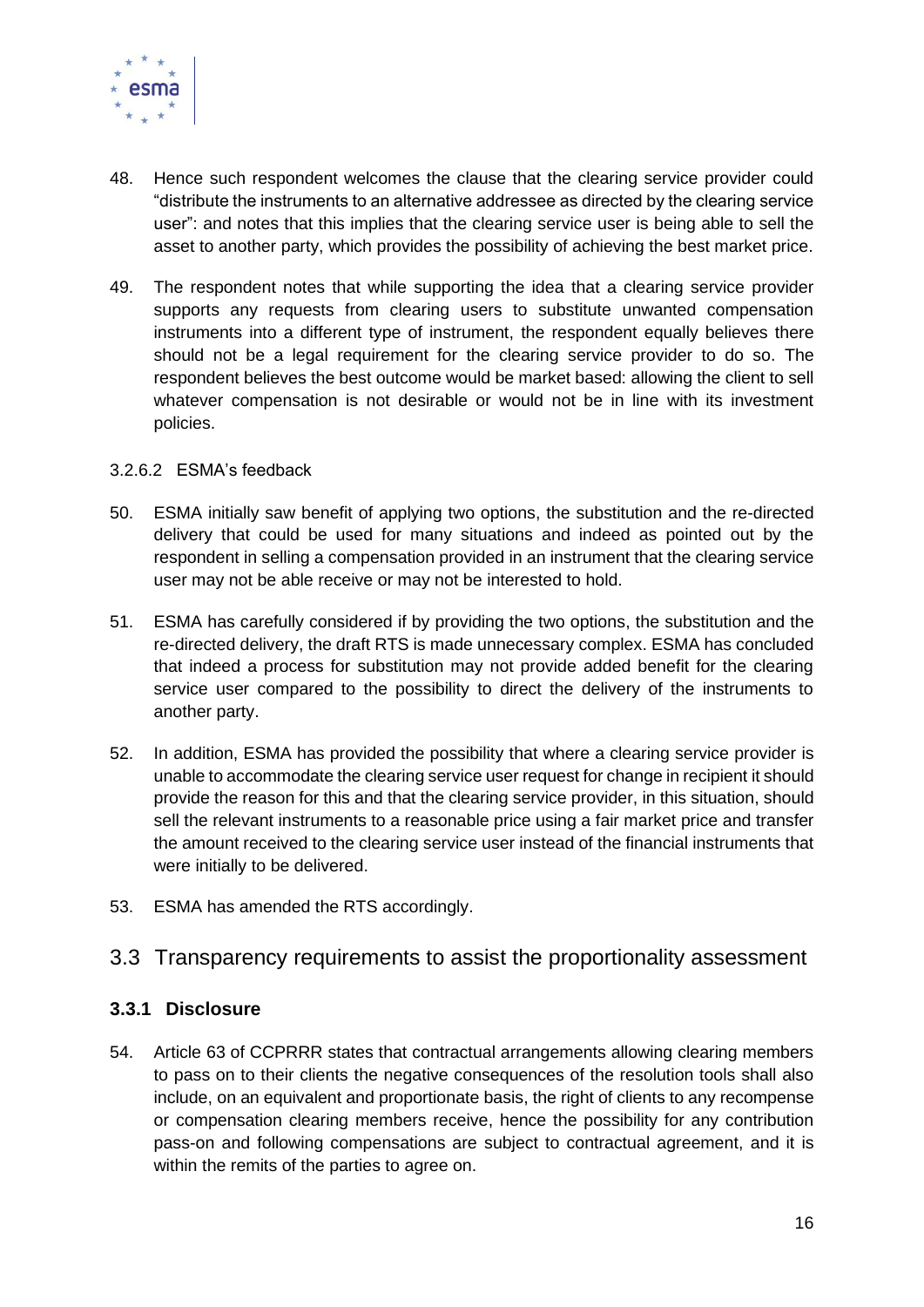

- 48. Hence such respondent welcomes the clause that the clearing service provider could "distribute the instruments to an alternative addressee as directed by the clearing service user": and notes that this implies that the clearing service user is being able to sell the asset to another party, which provides the possibility of achieving the best market price.
- 49. The respondent notes that while supporting the idea that a clearing service provider supports any requests from clearing users to substitute unwanted compensation instruments into a different type of instrument, the respondent equally believes there should not be a legal requirement for the clearing service provider to do so. The respondent believes the best outcome would be market based: allowing the client to sell whatever compensation is not desirable or would not be in line with its investment policies.

#### <span id="page-16-0"></span>3.2.6.2 ESMA's feedback

- 50. ESMA initially saw benefit of applying two options, the substitution and the re-directed delivery that could be used for many situations and indeed as pointed out by the respondent in selling a compensation provided in an instrument that the clearing service user may not be able receive or may not be interested to hold.
- 51. ESMA has carefully considered if by providing the two options, the substitution and the re-directed delivery, the draft RTS is made unnecessary complex. ESMA has concluded that indeed a process for substitution may not provide added benefit for the clearing service user compared to the possibility to direct the delivery of the instruments to another party.
- 52. In addition, ESMA has provided the possibility that where a clearing service provider is unable to accommodate the clearing service user request for change in recipient it should provide the reason for this and that the clearing service provider, in this situation, should sell the relevant instruments to a reasonable price using a fair market price and transfer the amount received to the clearing service user instead of the financial instruments that were initially to be delivered.
- <span id="page-16-1"></span>53. ESMA has amended the RTS accordingly.

## 3.3 Transparency requirements to assist the proportionality assessment

#### <span id="page-16-2"></span>**3.3.1 Disclosure**

54. Article 63 of CCPRRR states that contractual arrangements allowing clearing members to pass on to their clients the negative consequences of the resolution tools shall also include, on an equivalent and proportionate basis, the right of clients to any recompense or compensation clearing members receive, hence the possibility for any contribution pass-on and following compensations are subject to contractual agreement, and it is within the remits of the parties to agree on.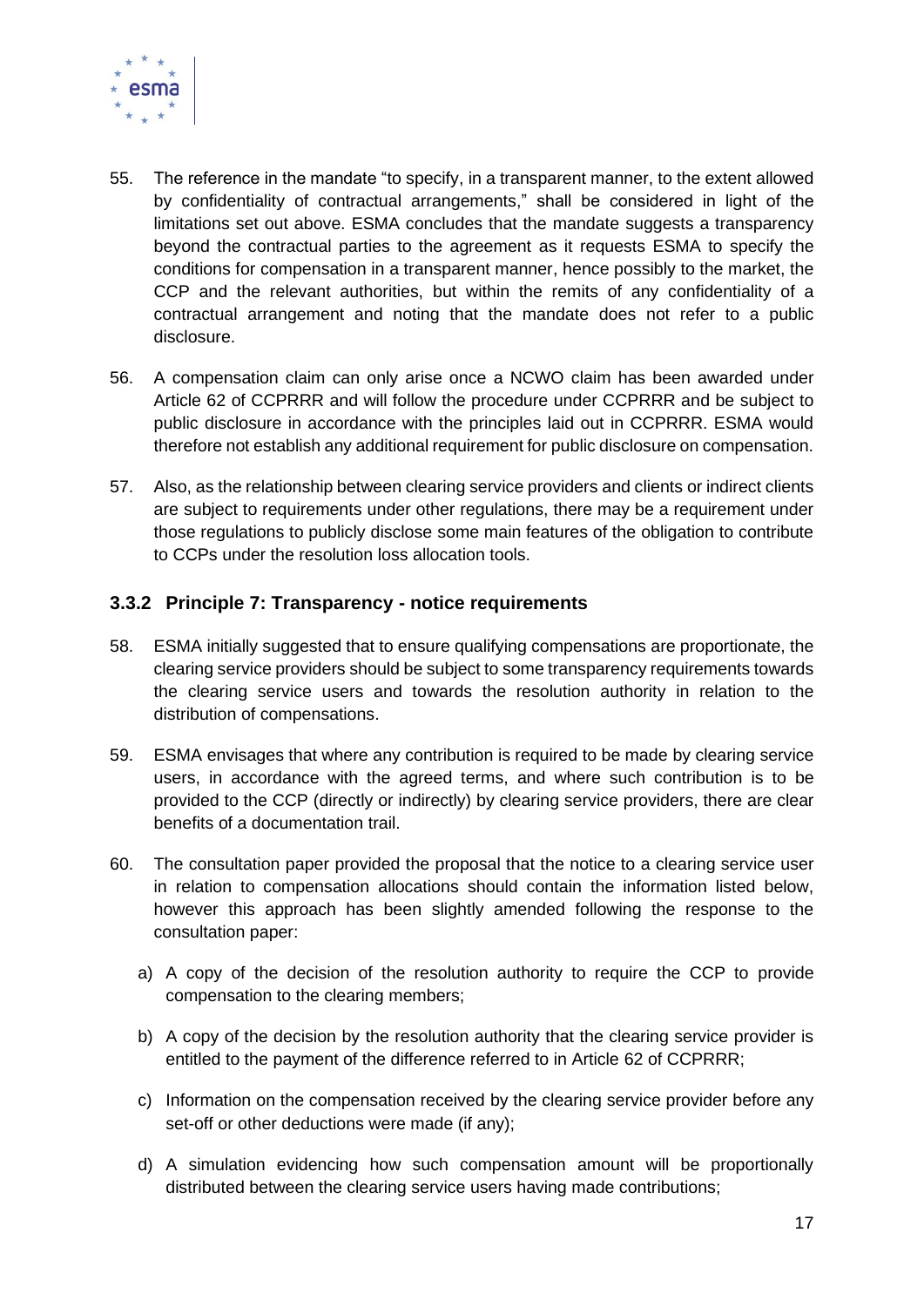

- 55. The reference in the mandate "to specify, in a transparent manner, to the extent allowed by confidentiality of contractual arrangements," shall be considered in light of the limitations set out above. ESMA concludes that the mandate suggests a transparency beyond the contractual parties to the agreement as it requests ESMA to specify the conditions for compensation in a transparent manner, hence possibly to the market, the CCP and the relevant authorities, but within the remits of any confidentiality of a contractual arrangement and noting that the mandate does not refer to a public disclosure.
- 56. A compensation claim can only arise once a NCWO claim has been awarded under Article 62 of CCPRRR and will follow the procedure under CCPRRR and be subject to public disclosure in accordance with the principles laid out in CCPRRR. ESMA would therefore not establish any additional requirement for public disclosure on compensation.
- 57. Also, as the relationship between clearing service providers and clients or indirect clients are subject to requirements under other regulations, there may be a requirement under those regulations to publicly disclose some main features of the obligation to contribute to CCPs under the resolution loss allocation tools.

### <span id="page-17-0"></span>**3.3.2 Principle 7: Transparency - notice requirements**

- 58. ESMA initially suggested that to ensure qualifying compensations are proportionate, the clearing service providers should be subject to some transparency requirements towards the clearing service users and towards the resolution authority in relation to the distribution of compensations.
- 59. ESMA envisages that where any contribution is required to be made by clearing service users, in accordance with the agreed terms, and where such contribution is to be provided to the CCP (directly or indirectly) by clearing service providers, there are clear benefits of a documentation trail.
- 60. The consultation paper provided the proposal that the notice to a clearing service user in relation to compensation allocations should contain the information listed below, however this approach has been slightly amended following the response to the consultation paper:
	- a) A copy of the decision of the resolution authority to require the CCP to provide compensation to the clearing members;
	- b) A copy of the decision by the resolution authority that the clearing service provider is entitled to the payment of the difference referred to in Article 62 of CCPRRR;
	- c) Information on the compensation received by the clearing service provider before any set-off or other deductions were made (if any);
	- d) A simulation evidencing how such compensation amount will be proportionally distributed between the clearing service users having made contributions;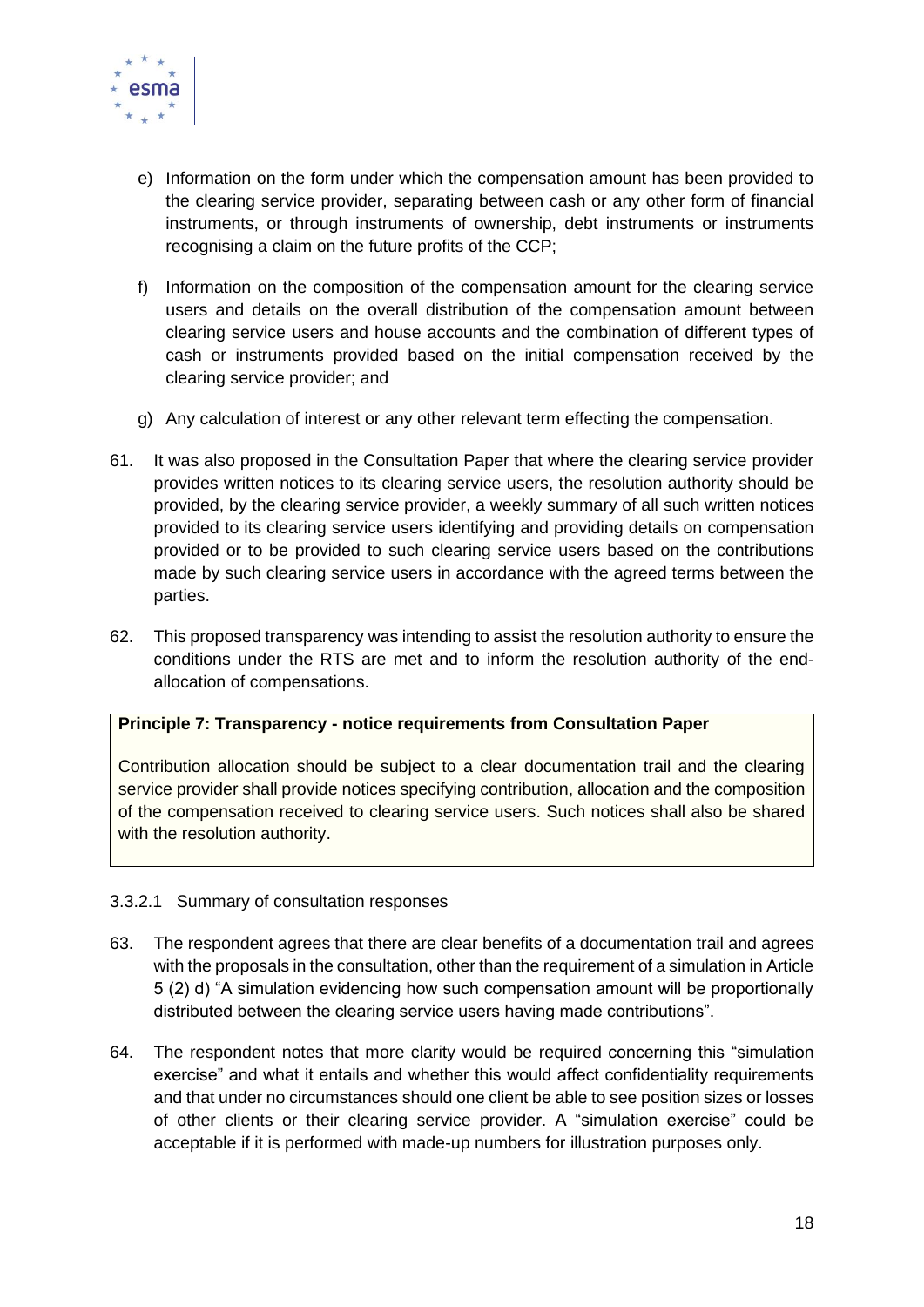

- e) Information on the form under which the compensation amount has been provided to the clearing service provider, separating between cash or any other form of financial instruments, or through instruments of ownership, debt instruments or instruments recognising a claim on the future profits of the CCP;
- f) Information on the composition of the compensation amount for the clearing service users and details on the overall distribution of the compensation amount between clearing service users and house accounts and the combination of different types of cash or instruments provided based on the initial compensation received by the clearing service provider; and
- g) Any calculation of interest or any other relevant term effecting the compensation.
- 61. It was also proposed in the Consultation Paper that where the clearing service provider provides written notices to its clearing service users, the resolution authority should be provided, by the clearing service provider, a weekly summary of all such written notices provided to its clearing service users identifying and providing details on compensation provided or to be provided to such clearing service users based on the contributions made by such clearing service users in accordance with the agreed terms between the parties.
- 62. This proposed transparency was intending to assist the resolution authority to ensure the conditions under the RTS are met and to inform the resolution authority of the endallocation of compensations.

#### **Principle 7: Transparency - notice requirements from Consultation Paper**

Contribution allocation should be subject to a clear documentation trail and the clearing service provider shall provide notices specifying contribution, allocation and the composition of the compensation received to clearing service users. Such notices shall also be shared with the resolution authority.

#### <span id="page-18-0"></span>3.3.2.1 Summary of consultation responses

- 63. The respondent agrees that there are clear benefits of a documentation trail and agrees with the proposals in the consultation, other than the requirement of a simulation in Article 5 (2) d) "A simulation evidencing how such compensation amount will be proportionally distributed between the clearing service users having made contributions".
- 64. The respondent notes that more clarity would be required concerning this "simulation exercise" and what it entails and whether this would affect confidentiality requirements and that under no circumstances should one client be able to see position sizes or losses of other clients or their clearing service provider. A "simulation exercise" could be acceptable if it is performed with made-up numbers for illustration purposes only.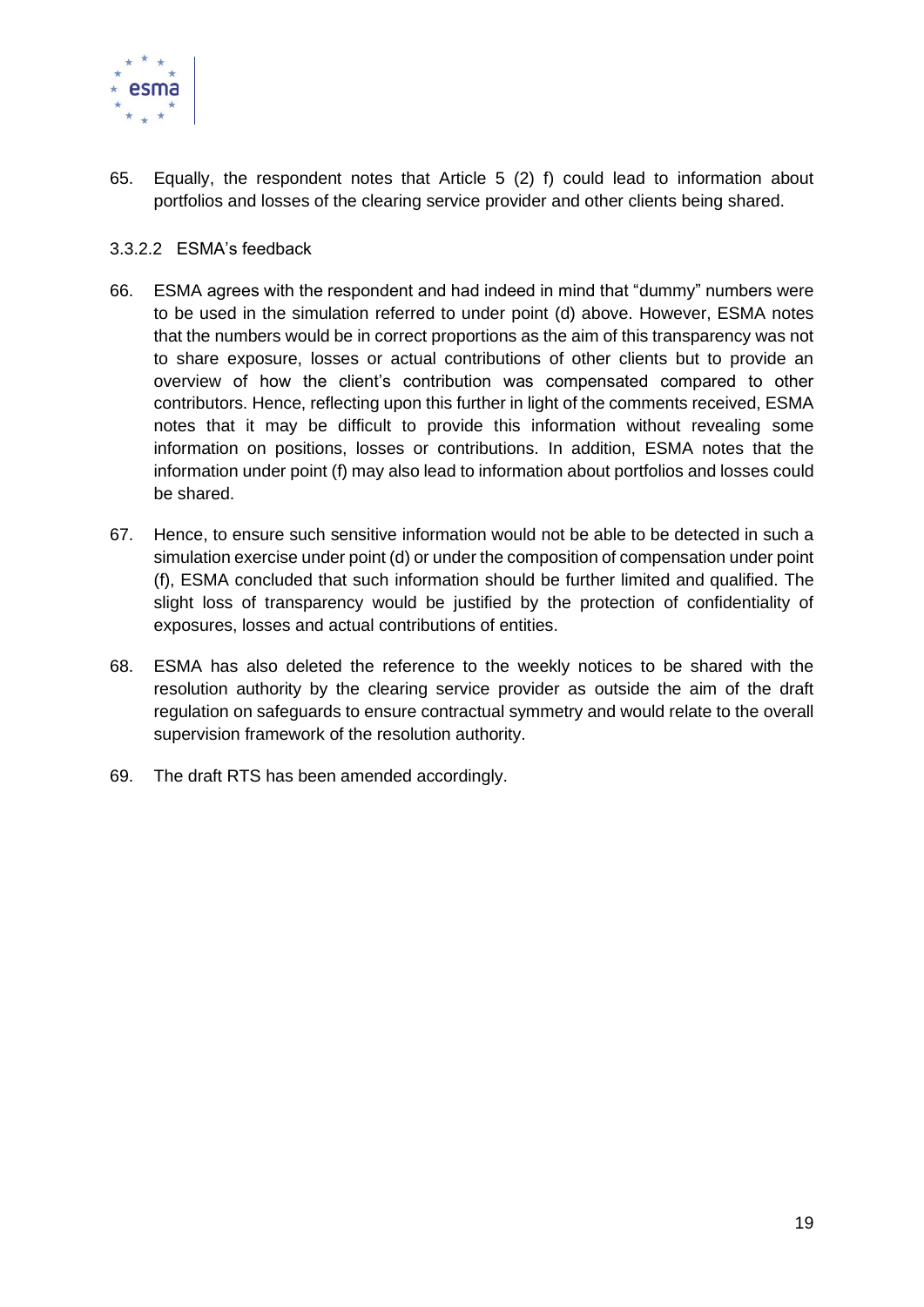

65. Equally, the respondent notes that Article 5 (2) f) could lead to information about portfolios and losses of the clearing service provider and other clients being shared.

#### <span id="page-19-0"></span>3.3.2.2 ESMA's feedback

- 66. ESMA agrees with the respondent and had indeed in mind that "dummy" numbers were to be used in the simulation referred to under point (d) above. However, ESMA notes that the numbers would be in correct proportions as the aim of this transparency was not to share exposure, losses or actual contributions of other clients but to provide an overview of how the client's contribution was compensated compared to other contributors. Hence, reflecting upon this further in light of the comments received, ESMA notes that it may be difficult to provide this information without revealing some information on positions, losses or contributions. In addition, ESMA notes that the information under point (f) may also lead to information about portfolios and losses could be shared.
- 67. Hence, to ensure such sensitive information would not be able to be detected in such a simulation exercise under point (d) or under the composition of compensation under point (f), ESMA concluded that such information should be further limited and qualified. The slight loss of transparency would be justified by the protection of confidentiality of exposures, losses and actual contributions of entities.
- 68. ESMA has also deleted the reference to the weekly notices to be shared with the resolution authority by the clearing service provider as outside the aim of the draft regulation on safeguards to ensure contractual symmetry and would relate to the overall supervision framework of the resolution authority.
- 69. The draft RTS has been amended accordingly.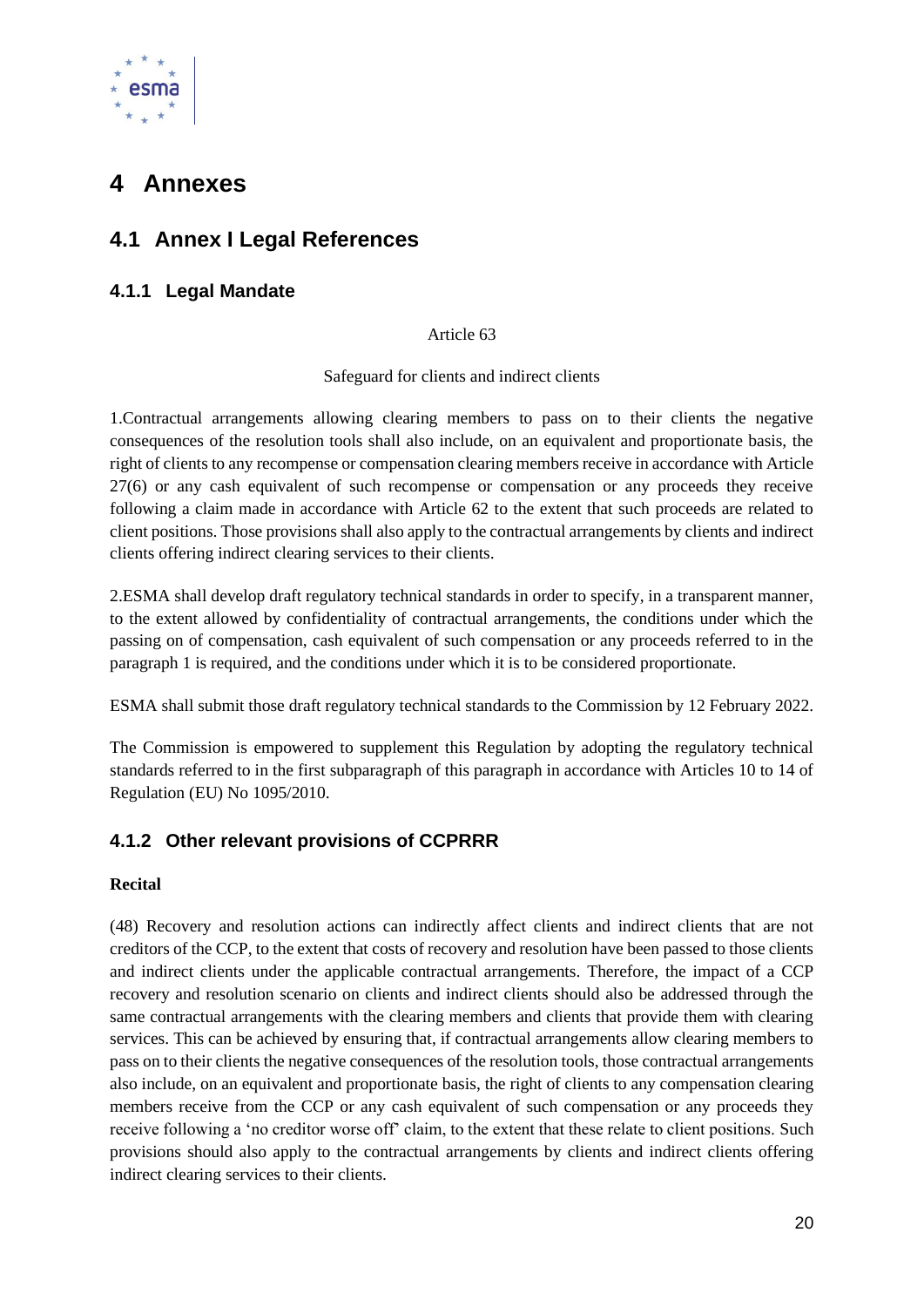

# <span id="page-20-0"></span>**4 Annexes**

# <span id="page-20-1"></span>**4.1 Annex I Legal References**

### <span id="page-20-2"></span>**4.1.1 Legal Mandate**

#### Article 63

Safeguard for clients and indirect clients

1.Contractual arrangements allowing clearing members to pass on to their clients the negative consequences of the resolution tools shall also include, on an equivalent and proportionate basis, the right of clients to any recompense or compensation clearing members receive in accordance with Article 27(6) or any cash equivalent of such recompense or compensation or any proceeds they receive following a claim made in accordance with Article 62 to the extent that such proceeds are related to client positions. Those provisions shall also apply to the contractual arrangements by clients and indirect clients offering indirect clearing services to their clients.

2.ESMA shall develop draft regulatory technical standards in order to specify, in a transparent manner, to the extent allowed by confidentiality of contractual arrangements, the conditions under which the passing on of compensation, cash equivalent of such compensation or any proceeds referred to in the paragraph 1 is required, and the conditions under which it is to be considered proportionate.

ESMA shall submit those draft regulatory technical standards to the Commission by 12 February 2022.

The Commission is empowered to supplement this Regulation by adopting the regulatory technical standards referred to in the first subparagraph of this paragraph in accordance with Articles 10 to 14 of Regulation (EU) No 1095/2010.

## <span id="page-20-3"></span>**4.1.2 Other relevant provisions of CCPRRR**

#### **Recital**

(48) Recovery and resolution actions can indirectly affect clients and indirect clients that are not creditors of the CCP, to the extent that costs of recovery and resolution have been passed to those clients and indirect clients under the applicable contractual arrangements. Therefore, the impact of a CCP recovery and resolution scenario on clients and indirect clients should also be addressed through the same contractual arrangements with the clearing members and clients that provide them with clearing services. This can be achieved by ensuring that, if contractual arrangements allow clearing members to pass on to their clients the negative consequences of the resolution tools, those contractual arrangements also include, on an equivalent and proportionate basis, the right of clients to any compensation clearing members receive from the CCP or any cash equivalent of such compensation or any proceeds they receive following a 'no creditor worse off' claim, to the extent that these relate to client positions. Such provisions should also apply to the contractual arrangements by clients and indirect clients offering indirect clearing services to their clients.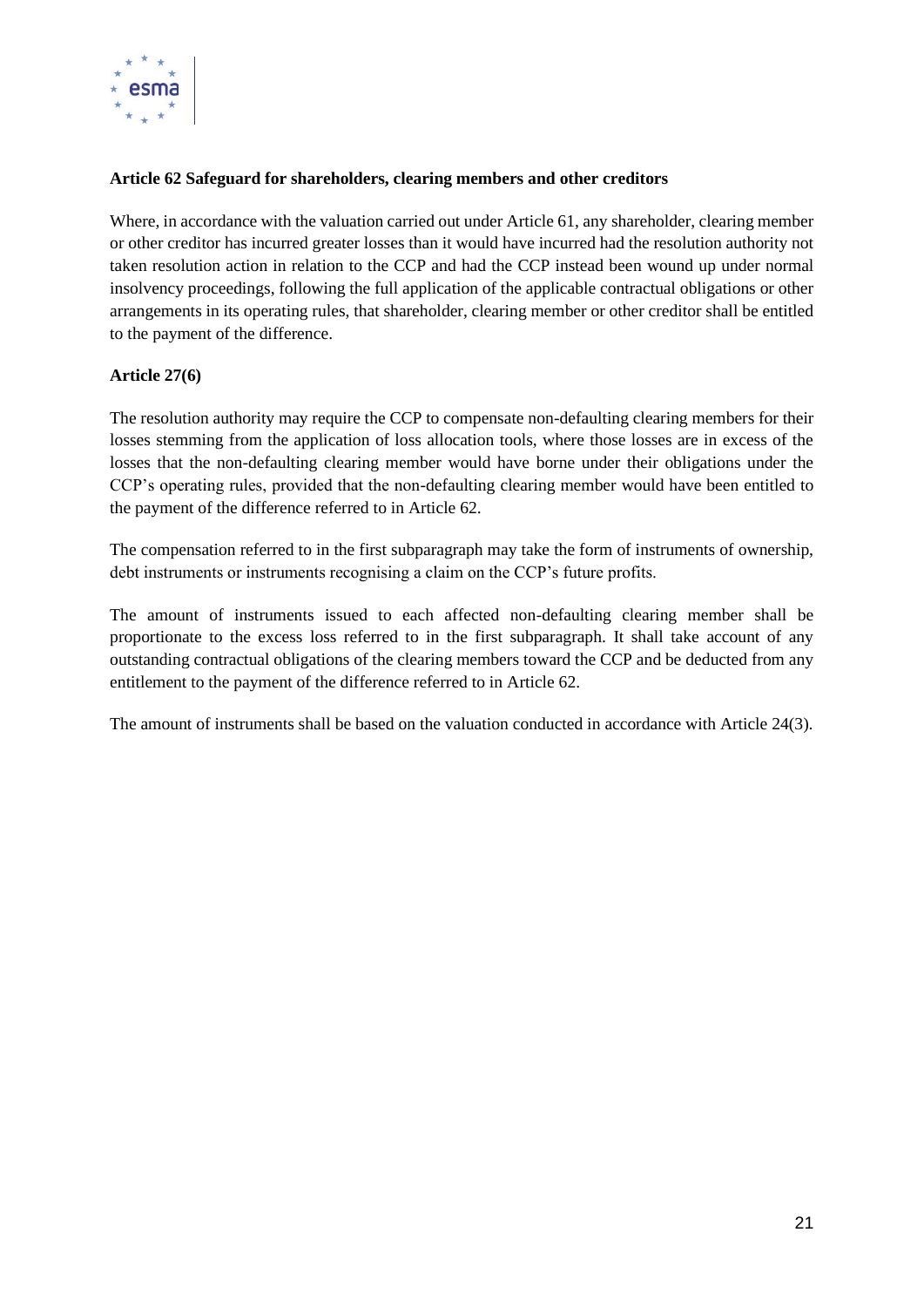

#### **Article 62 Safeguard for shareholders, clearing members and other creditors**

Where, in accordance with the valuation carried out under Article 61, any shareholder, clearing member or other creditor has incurred greater losses than it would have incurred had the resolution authority not taken resolution action in relation to the CCP and had the CCP instead been wound up under normal insolvency proceedings, following the full application of the applicable contractual obligations or other arrangements in its operating rules, that shareholder, clearing member or other creditor shall be entitled to the payment of the difference.

#### **Article 27(6)**

The resolution authority may require the CCP to compensate non-defaulting clearing members for their losses stemming from the application of loss allocation tools, where those losses are in excess of the losses that the non-defaulting clearing member would have borne under their obligations under the CCP's operating rules, provided that the non-defaulting clearing member would have been entitled to the payment of the difference referred to in Article 62.

The compensation referred to in the first subparagraph may take the form of instruments of ownership, debt instruments or instruments recognising a claim on the CCP's future profits.

The amount of instruments issued to each affected non-defaulting clearing member shall be proportionate to the excess loss referred to in the first subparagraph. It shall take account of any outstanding contractual obligations of the clearing members toward the CCP and be deducted from any entitlement to the payment of the difference referred to in Article 62.

The amount of instruments shall be based on the valuation conducted in accordance with Article 24(3).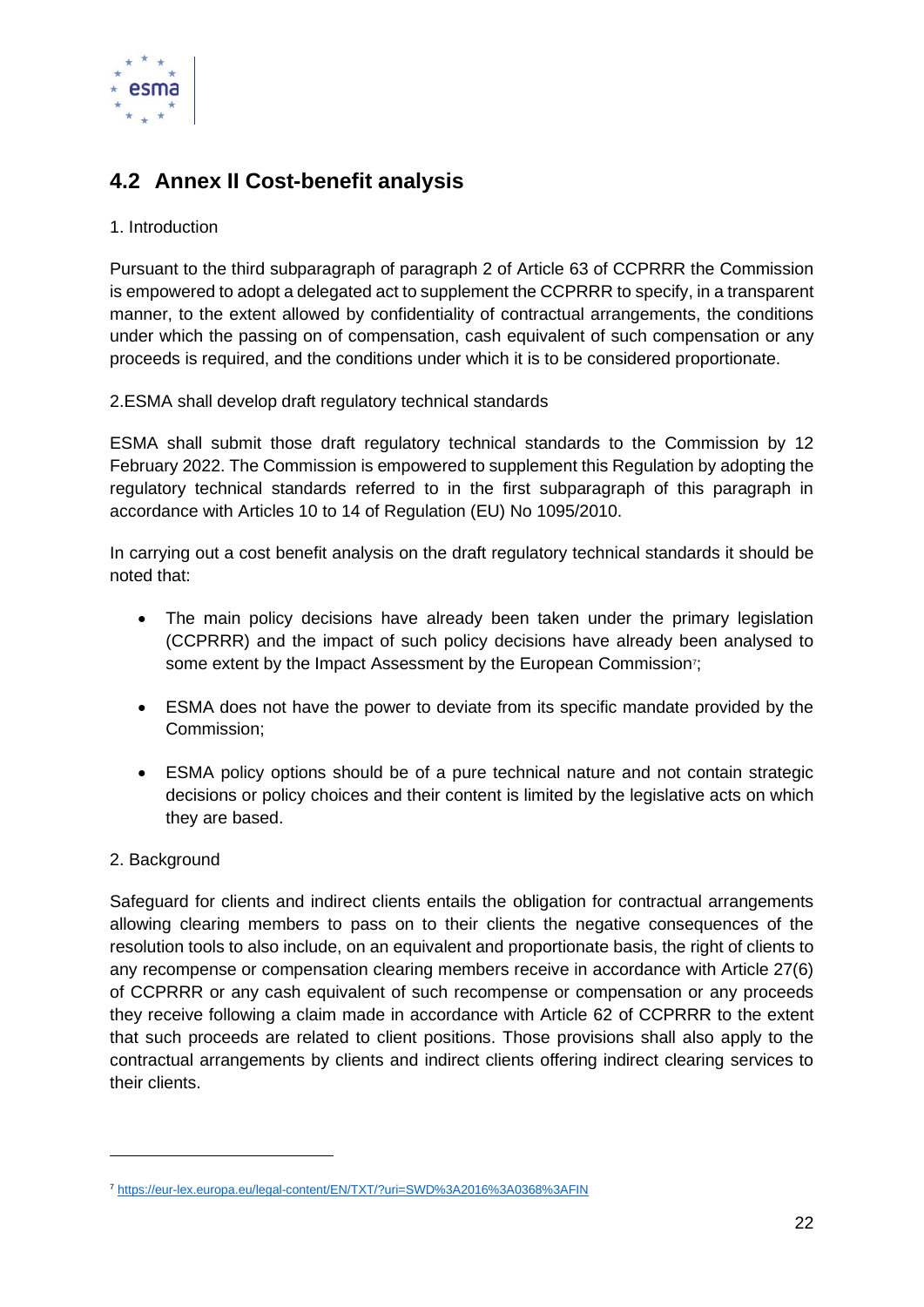

# <span id="page-22-0"></span>**4.2 Annex II Cost-benefit analysis**

#### 1. Introduction

Pursuant to the third subparagraph of paragraph 2 of Article 63 of CCPRRR the Commission is empowered to adopt a delegated act to supplement the CCPRRR to specify, in a transparent manner, to the extent allowed by confidentiality of contractual arrangements, the conditions under which the passing on of compensation, cash equivalent of such compensation or any proceeds is required, and the conditions under which it is to be considered proportionate.

2.ESMA shall develop draft regulatory technical standards

ESMA shall submit those draft regulatory technical standards to the Commission by 12 February 2022. The Commission is empowered to supplement this Regulation by adopting the regulatory technical standards referred to in the first subparagraph of this paragraph in accordance with Articles 10 to 14 of Regulation (EU) No 1095/2010.

In carrying out a cost benefit analysis on the draft regulatory technical standards it should be noted that:

- The main policy decisions have already been taken under the primary legislation (CCPRRR) and the impact of such policy decisions have already been analysed to some extent by the Impact Assessment by the European Commission<sup>7</sup>;
- ESMA does not have the power to deviate from its specific mandate provided by the Commission;
- ESMA policy options should be of a pure technical nature and not contain strategic decisions or policy choices and their content is limited by the legislative acts on which they are based.

#### 2. Background

Safeguard for clients and indirect clients entails the obligation for contractual arrangements allowing clearing members to pass on to their clients the negative consequences of the resolution tools to also include, on an equivalent and proportionate basis, the right of clients to any recompense or compensation clearing members receive in accordance with Article 27(6) of CCPRRR or any cash equivalent of such recompense or compensation or any proceeds they receive following a claim made in accordance with Article 62 of CCPRRR to the extent that such proceeds are related to client positions. Those provisions shall also apply to the contractual arrangements by clients and indirect clients offering indirect clearing services to their clients.

<sup>7</sup> <https://eur-lex.europa.eu/legal-content/EN/TXT/?uri=SWD%3A2016%3A0368%3AFIN>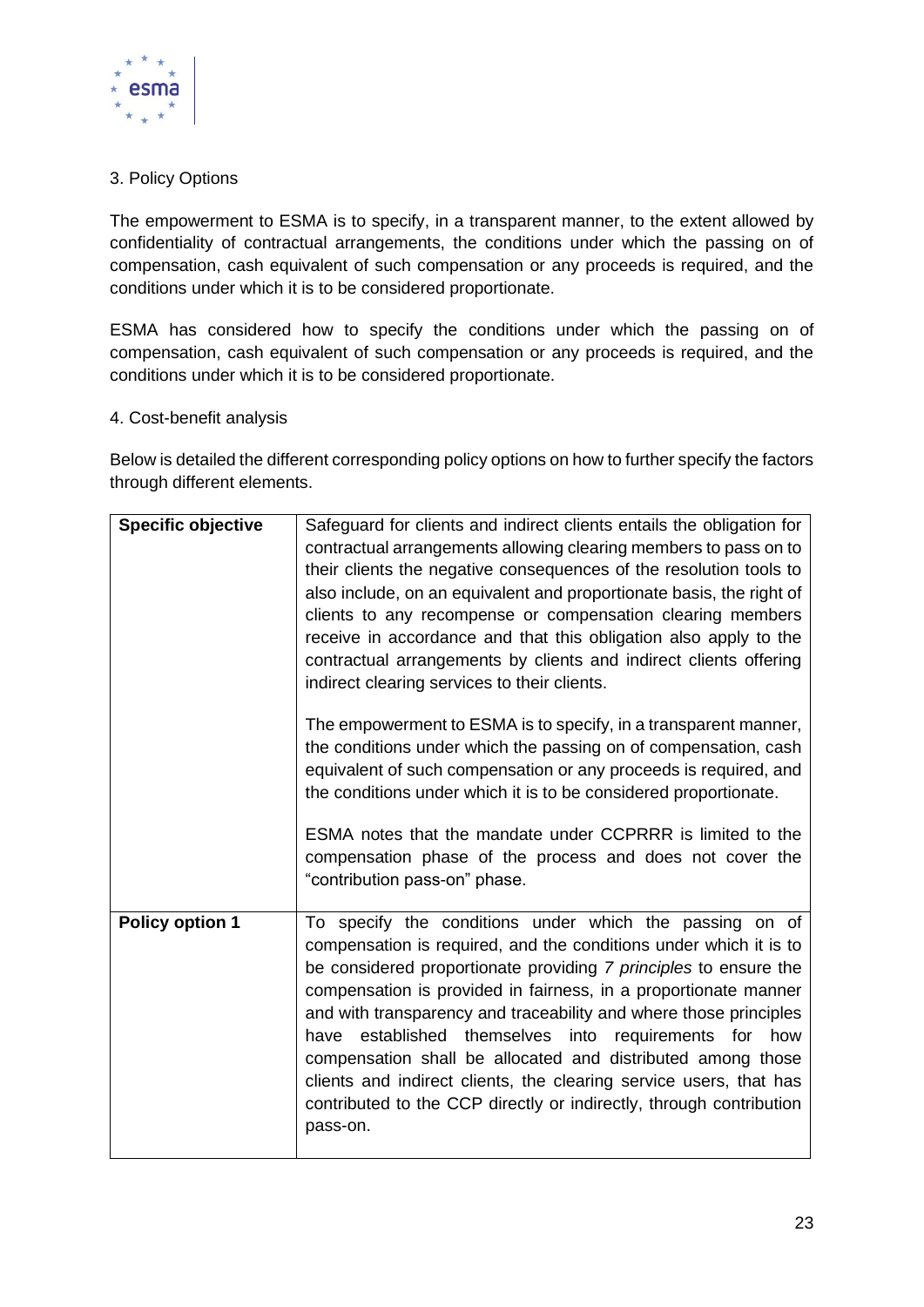

#### 3. Policy Options

The empowerment to ESMA is to specify, in a transparent manner, to the extent allowed by confidentiality of contractual arrangements, the conditions under which the passing on of compensation, cash equivalent of such compensation or any proceeds is required, and the conditions under which it is to be considered proportionate.

ESMA has considered how to specify the conditions under which the passing on of compensation, cash equivalent of such compensation or any proceeds is required, and the conditions under which it is to be considered proportionate.

#### 4. Cost-benefit analysis

Below is detailed the different corresponding policy options on how to further specify the factors through different elements.

| <b>Specific objective</b> | Safeguard for clients and indirect clients entails the obligation for<br>contractual arrangements allowing clearing members to pass on to<br>their clients the negative consequences of the resolution tools to<br>also include, on an equivalent and proportionate basis, the right of<br>clients to any recompense or compensation clearing members<br>receive in accordance and that this obligation also apply to the<br>contractual arrangements by clients and indirect clients offering<br>indirect clearing services to their clients.                                                                                  |
|---------------------------|---------------------------------------------------------------------------------------------------------------------------------------------------------------------------------------------------------------------------------------------------------------------------------------------------------------------------------------------------------------------------------------------------------------------------------------------------------------------------------------------------------------------------------------------------------------------------------------------------------------------------------|
|                           | The empowerment to ESMA is to specify, in a transparent manner,<br>the conditions under which the passing on of compensation, cash<br>equivalent of such compensation or any proceeds is required, and<br>the conditions under which it is to be considered proportionate.<br>ESMA notes that the mandate under CCPRRR is limited to the<br>compensation phase of the process and does not cover the<br>"contribution pass-on" phase.                                                                                                                                                                                           |
| <b>Policy option 1</b>    | To specify the conditions under which the passing on of<br>compensation is required, and the conditions under which it is to<br>be considered proportionate providing 7 principles to ensure the<br>compensation is provided in fairness, in a proportionate manner<br>and with transparency and traceability and where those principles<br>have established themselves into<br>requirements for<br>how<br>compensation shall be allocated and distributed among those<br>clients and indirect clients, the clearing service users, that has<br>contributed to the CCP directly or indirectly, through contribution<br>pass-on. |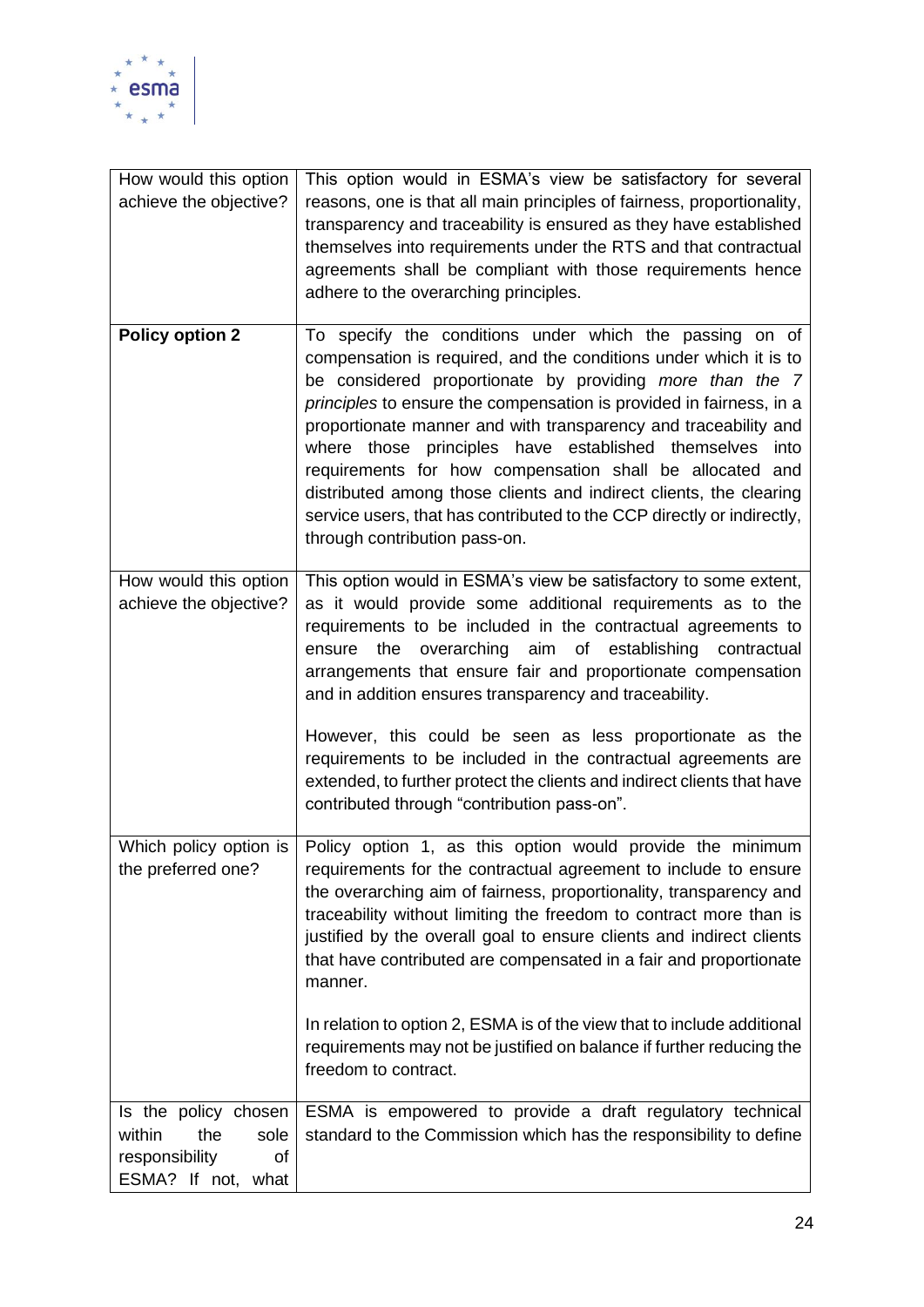

| How would this option<br>achieve the objective?                                             | This option would in ESMA's view be satisfactory for several<br>reasons, one is that all main principles of fairness, proportionality,<br>transparency and traceability is ensured as they have established<br>themselves into requirements under the RTS and that contractual<br>agreements shall be compliant with those requirements hence<br>adhere to the overarching principles.                                                                                                                                                                                                                                                             |
|---------------------------------------------------------------------------------------------|----------------------------------------------------------------------------------------------------------------------------------------------------------------------------------------------------------------------------------------------------------------------------------------------------------------------------------------------------------------------------------------------------------------------------------------------------------------------------------------------------------------------------------------------------------------------------------------------------------------------------------------------------|
| <b>Policy option 2</b>                                                                      | To specify the conditions under which the passing on of<br>compensation is required, and the conditions under which it is to<br>be considered proportionate by providing more than the 7<br>principles to ensure the compensation is provided in fairness, in a<br>proportionate manner and with transparency and traceability and<br>where those principles have established themselves<br>into<br>requirements for how compensation shall be allocated and<br>distributed among those clients and indirect clients, the clearing<br>service users, that has contributed to the CCP directly or indirectly,<br>through contribution pass-on.      |
| How would this option<br>achieve the objective?                                             | This option would in ESMA's view be satisfactory to some extent,<br>as it would provide some additional requirements as to the<br>requirements to be included in the contractual agreements to<br>overarching aim of establishing<br>the<br>ensure<br>contractual<br>arrangements that ensure fair and proportionate compensation<br>and in addition ensures transparency and traceability.<br>However, this could be seen as less proportionate as the<br>requirements to be included in the contractual agreements are<br>extended, to further protect the clients and indirect clients that have<br>contributed through "contribution pass-on". |
| Which policy option is<br>the preferred one?                                                | Policy option 1, as this option would provide the minimum<br>requirements for the contractual agreement to include to ensure<br>the overarching aim of fairness, proportionality, transparency and<br>traceability without limiting the freedom to contract more than is<br>justified by the overall goal to ensure clients and indirect clients<br>that have contributed are compensated in a fair and proportionate<br>manner.<br>In relation to option 2, ESMA is of the view that to include additional                                                                                                                                        |
|                                                                                             | requirements may not be justified on balance if further reducing the<br>freedom to contract.                                                                                                                                                                                                                                                                                                                                                                                                                                                                                                                                                       |
| Is the policy chosen<br>within<br>the<br>sole<br>responsibility<br>of<br>ESMA? If not, what | ESMA is empowered to provide a draft regulatory technical<br>standard to the Commission which has the responsibility to define                                                                                                                                                                                                                                                                                                                                                                                                                                                                                                                     |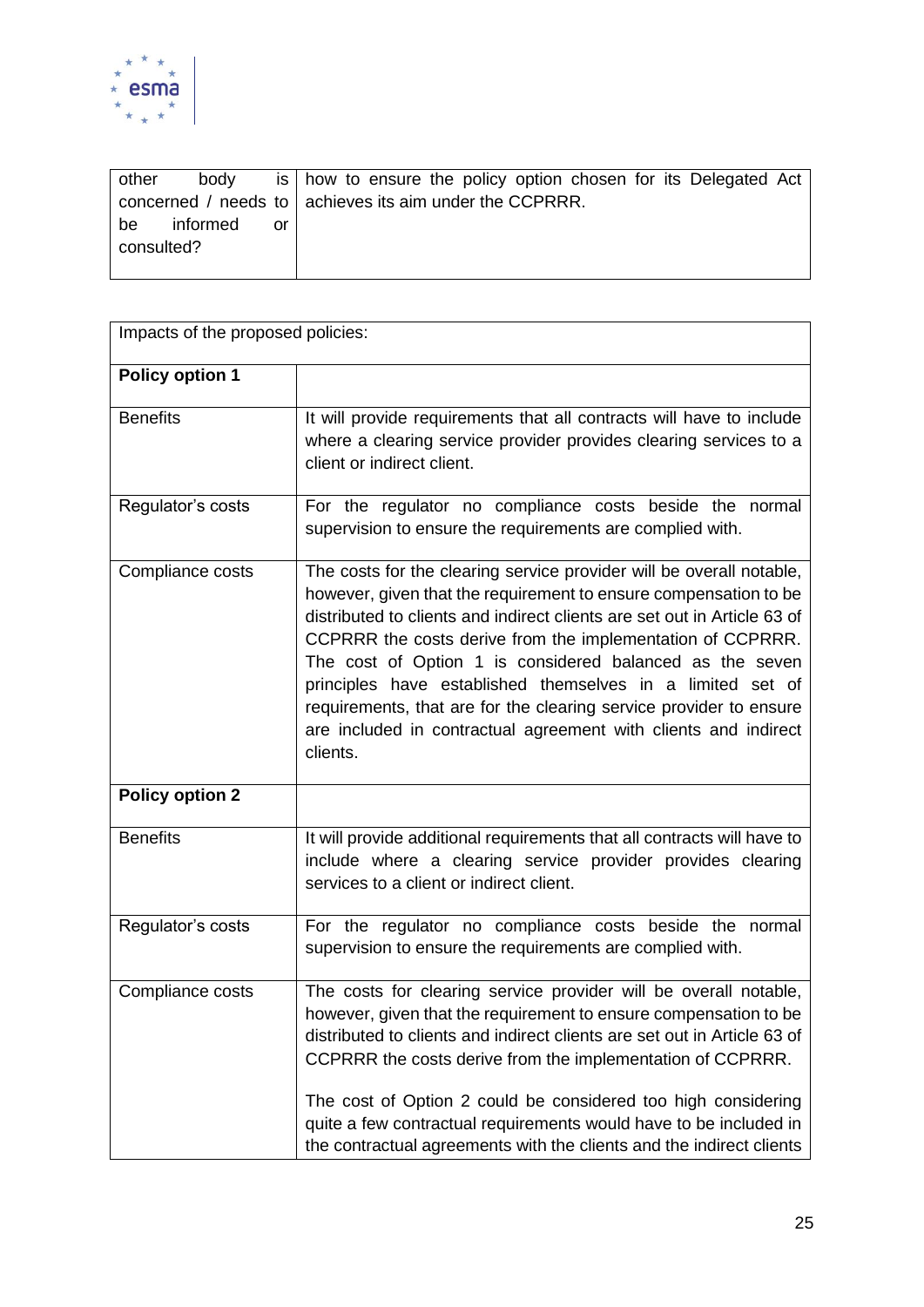

| other      | body                                                      |    |  |  |  |  | is   how to ensure the policy option chosen for its Delegated Act |  |
|------------|-----------------------------------------------------------|----|--|--|--|--|-------------------------------------------------------------------|--|
|            | concerned / needs to   achieves its aim under the CCPRRR. |    |  |  |  |  |                                                                   |  |
| be         | informed                                                  | or |  |  |  |  |                                                                   |  |
| consulted? |                                                           |    |  |  |  |  |                                                                   |  |
|            |                                                           |    |  |  |  |  |                                                                   |  |

| Impacts of the proposed policies: |                                                                                                                                                                                                                                                                                                                                                                                                                                                                                                                                                                   |  |  |  |  |  |  |
|-----------------------------------|-------------------------------------------------------------------------------------------------------------------------------------------------------------------------------------------------------------------------------------------------------------------------------------------------------------------------------------------------------------------------------------------------------------------------------------------------------------------------------------------------------------------------------------------------------------------|--|--|--|--|--|--|
| <b>Policy option 1</b>            |                                                                                                                                                                                                                                                                                                                                                                                                                                                                                                                                                                   |  |  |  |  |  |  |
| <b>Benefits</b>                   | It will provide requirements that all contracts will have to include<br>where a clearing service provider provides clearing services to a<br>client or indirect client.                                                                                                                                                                                                                                                                                                                                                                                           |  |  |  |  |  |  |
| Regulator's costs                 | For the regulator no compliance costs beside the normal<br>supervision to ensure the requirements are complied with.                                                                                                                                                                                                                                                                                                                                                                                                                                              |  |  |  |  |  |  |
| Compliance costs                  | The costs for the clearing service provider will be overall notable,<br>however, given that the requirement to ensure compensation to be<br>distributed to clients and indirect clients are set out in Article 63 of<br>CCPRRR the costs derive from the implementation of CCPRRR.<br>The cost of Option 1 is considered balanced as the seven<br>principles have established themselves in a limited set of<br>requirements, that are for the clearing service provider to ensure<br>are included in contractual agreement with clients and indirect<br>clients. |  |  |  |  |  |  |
| <b>Policy option 2</b>            |                                                                                                                                                                                                                                                                                                                                                                                                                                                                                                                                                                   |  |  |  |  |  |  |
| <b>Benefits</b>                   | It will provide additional requirements that all contracts will have to<br>include where a clearing service provider provides clearing<br>services to a client or indirect client.                                                                                                                                                                                                                                                                                                                                                                                |  |  |  |  |  |  |
| Regulator's costs                 | For the regulator no compliance costs beside the normal<br>supervision to ensure the requirements are complied with.                                                                                                                                                                                                                                                                                                                                                                                                                                              |  |  |  |  |  |  |
| Compliance costs                  | The costs for clearing service provider will be overall notable,<br>however, given that the requirement to ensure compensation to be<br>distributed to clients and indirect clients are set out in Article 63 of<br>CCPRRR the costs derive from the implementation of CCPRRR.<br>The cost of Option 2 could be considered too high considering<br>quite a few contractual requirements would have to be included in<br>the contractual agreements with the clients and the indirect clients                                                                      |  |  |  |  |  |  |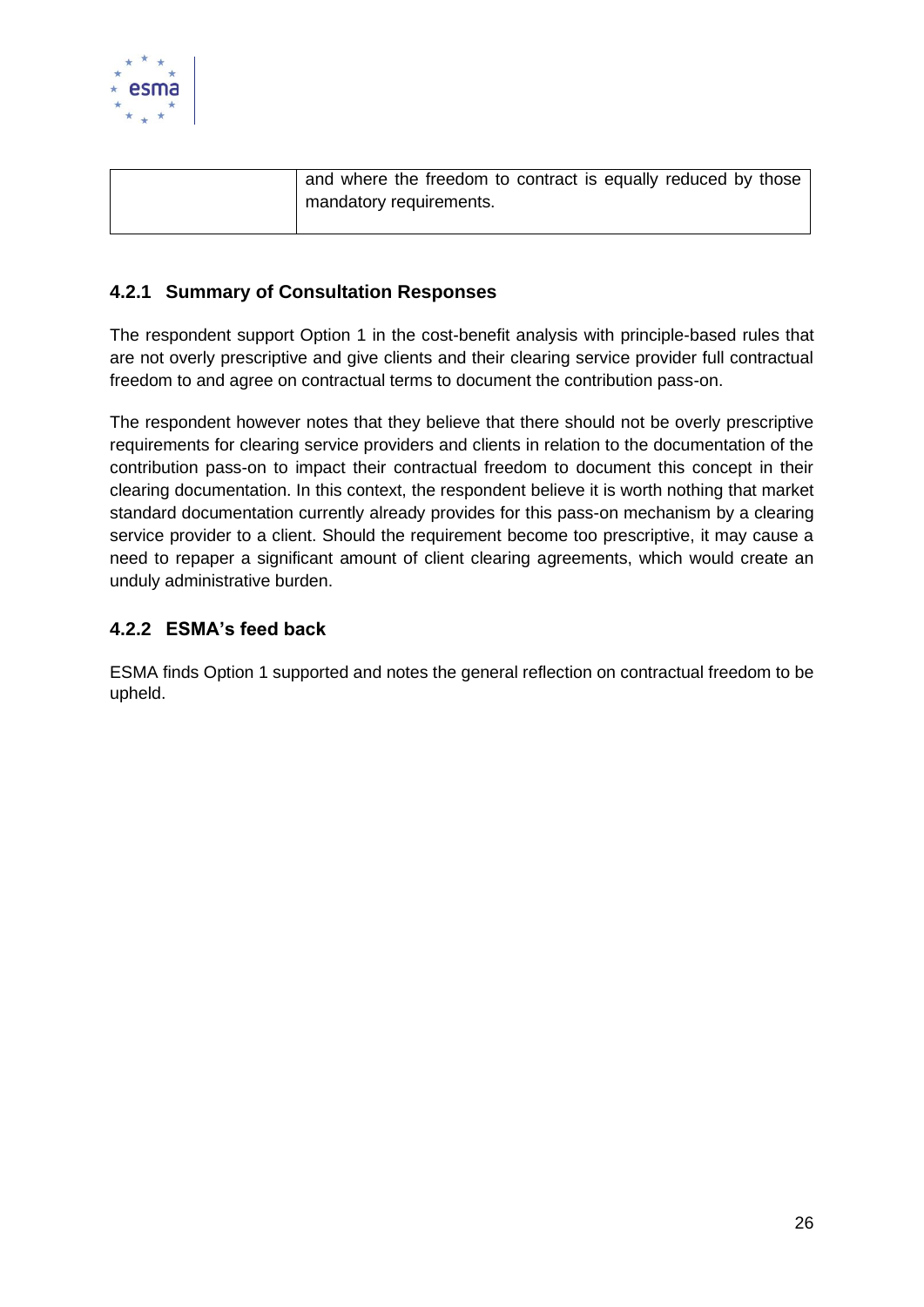

| and where the freedom to contract is equally reduced by those |
|---------------------------------------------------------------|
| mandatory requirements.                                       |
|                                                               |

### <span id="page-26-0"></span>**4.2.1 Summary of Consultation Responses**

The respondent support Option 1 in the cost-benefit analysis with principle-based rules that are not overly prescriptive and give clients and their clearing service provider full contractual freedom to and agree on contractual terms to document the contribution pass-on.

The respondent however notes that they believe that there should not be overly prescriptive requirements for clearing service providers and clients in relation to the documentation of the contribution pass-on to impact their contractual freedom to document this concept in their clearing documentation. In this context, the respondent believe it is worth nothing that market standard documentation currently already provides for this pass-on mechanism by a clearing service provider to a client. Should the requirement become too prescriptive, it may cause a need to repaper a significant amount of client clearing agreements, which would create an unduly administrative burden.

### <span id="page-26-1"></span>**4.2.2 ESMA's feed back**

ESMA finds Option 1 supported and notes the general reflection on contractual freedom to be upheld.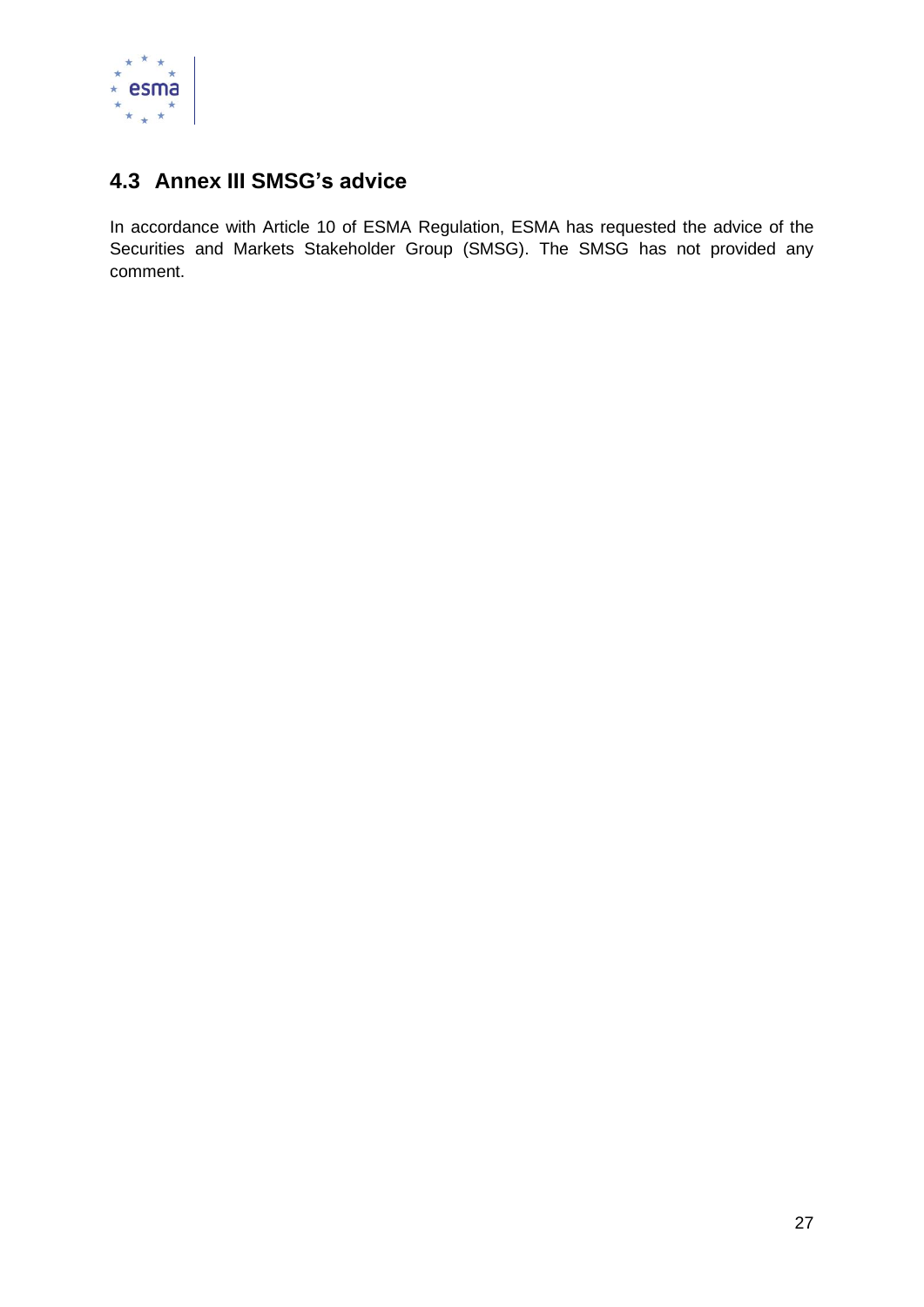

# <span id="page-27-0"></span>**4.3 Annex III SMSG's advice**

In accordance with Article 10 of ESMA Regulation, ESMA has requested the advice of the Securities and Markets Stakeholder Group (SMSG). The SMSG has not provided any comment.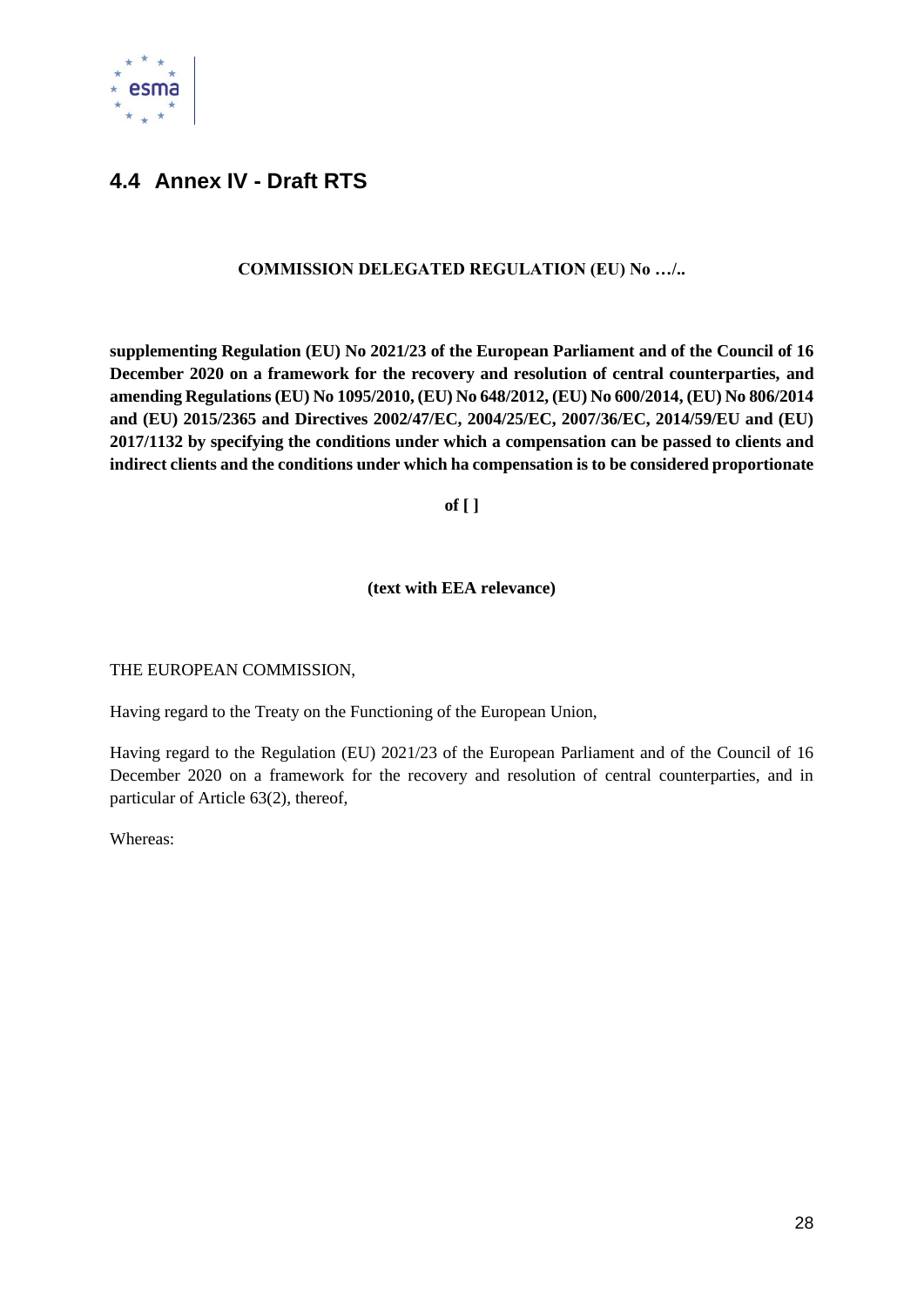

# <span id="page-28-0"></span>**4.4 Annex IV - Draft RTS**

#### **COMMISSION DELEGATED REGULATION (EU) No …/..**

**supplementing Regulation (EU) No 2021/23 of the European Parliament and of the Council of 16 December 2020 on a framework for the recovery and resolution of central counterparties, and amending Regulations (EU) No 1095/2010, (EU) No 648/2012, (EU) No 600/2014, (EU) No 806/2014 and (EU) 2015/2365 and Directives 2002/47/EC, 2004/25/EC, 2007/36/EC, 2014/59/EU and (EU) 2017/1132 by specifying the conditions under which a compensation can be passed to clients and indirect clients and the conditions under which ha compensation is to be considered proportionate**

**of [ ]**

#### **(text with EEA relevance)**

THE EUROPEAN COMMISSION,

Having regard to the Treaty on the Functioning of the European Union,

Having regard to the Regulation (EU) 2021/23 of the European Parliament and of the Council of 16 December 2020 on a framework for the recovery and resolution of central counterparties, and in particular of Article 63(2), thereof,

Whereas: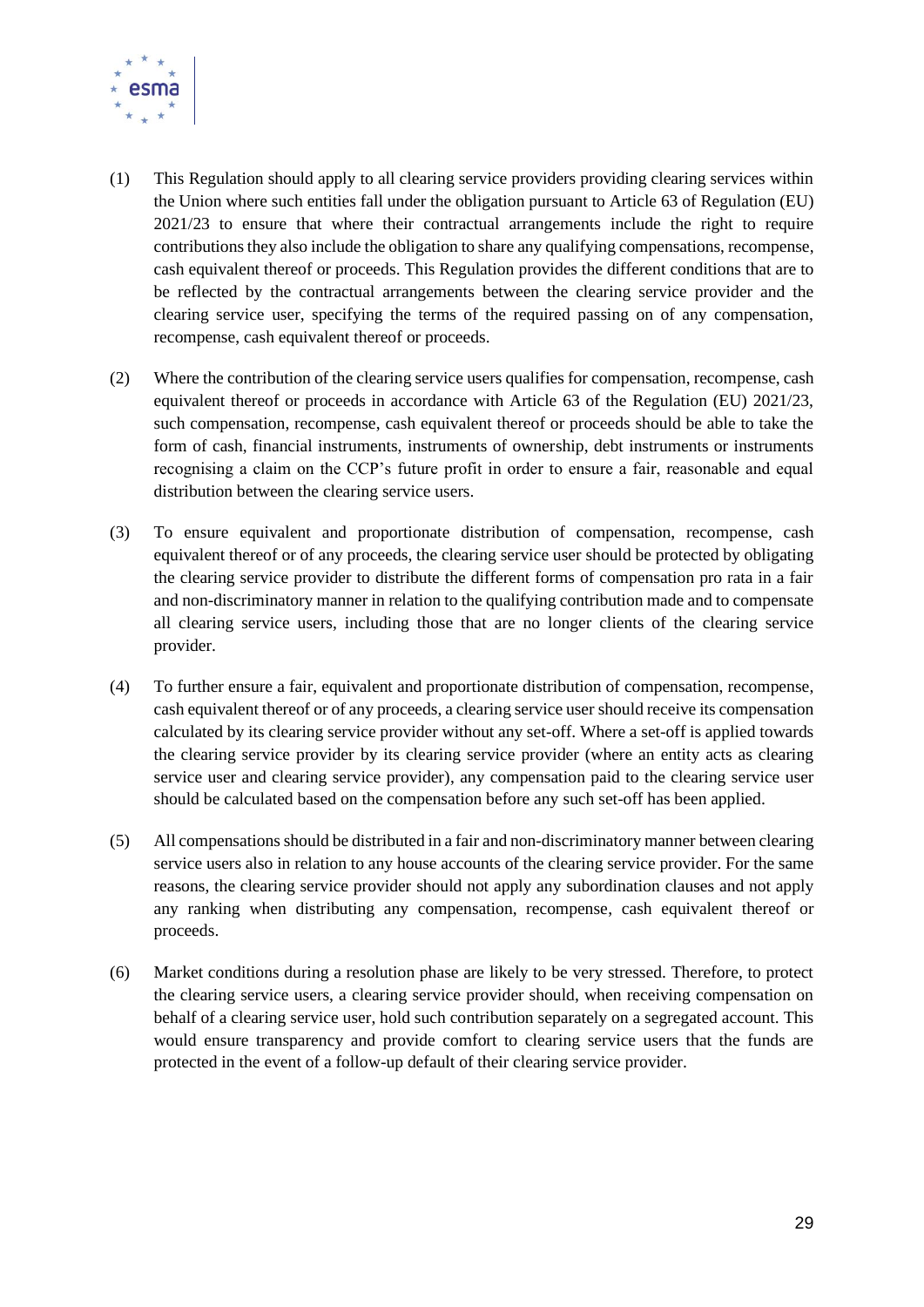

- (1) This Regulation should apply to all clearing service providers providing clearing services within the Union where such entities fall under the obligation pursuant to Article 63 of Regulation (EU) 2021/23 to ensure that where their contractual arrangements include the right to require contributions they also include the obligation to share any qualifying compensations, recompense, cash equivalent thereof or proceeds. This Regulation provides the different conditions that are to be reflected by the contractual arrangements between the clearing service provider and the clearing service user, specifying the terms of the required passing on of any compensation, recompense, cash equivalent thereof or proceeds.
- (2) Where the contribution of the clearing service users qualifies for compensation, recompense, cash equivalent thereof or proceeds in accordance with Article 63 of the Regulation (EU) 2021/23, such compensation, recompense, cash equivalent thereof or proceeds should be able to take the form of cash, financial instruments, instruments of ownership, debt instruments or instruments recognising a claim on the CCP's future profit in order to ensure a fair, reasonable and equal distribution between the clearing service users.
- (3) To ensure equivalent and proportionate distribution of compensation, recompense, cash equivalent thereof or of any proceeds, the clearing service user should be protected by obligating the clearing service provider to distribute the different forms of compensation pro rata in a fair and non-discriminatory manner in relation to the qualifying contribution made and to compensate all clearing service users, including those that are no longer clients of the clearing service provider.
- (4) To further ensure a fair, equivalent and proportionate distribution of compensation, recompense, cash equivalent thereof or of any proceeds, a clearing service user should receive its compensation calculated by its clearing service provider without any set-off. Where a set-off is applied towards the clearing service provider by its clearing service provider (where an entity acts as clearing service user and clearing service provider), any compensation paid to the clearing service user should be calculated based on the compensation before any such set-off has been applied.
- (5) All compensations should be distributed in a fair and non-discriminatory manner between clearing service users also in relation to any house accounts of the clearing service provider. For the same reasons, the clearing service provider should not apply any subordination clauses and not apply any ranking when distributing any compensation, recompense, cash equivalent thereof or proceeds.
- (6) Market conditions during a resolution phase are likely to be very stressed. Therefore, to protect the clearing service users, a clearing service provider should, when receiving compensation on behalf of a clearing service user, hold such contribution separately on a segregated account. This would ensure transparency and provide comfort to clearing service users that the funds are protected in the event of a follow-up default of their clearing service provider.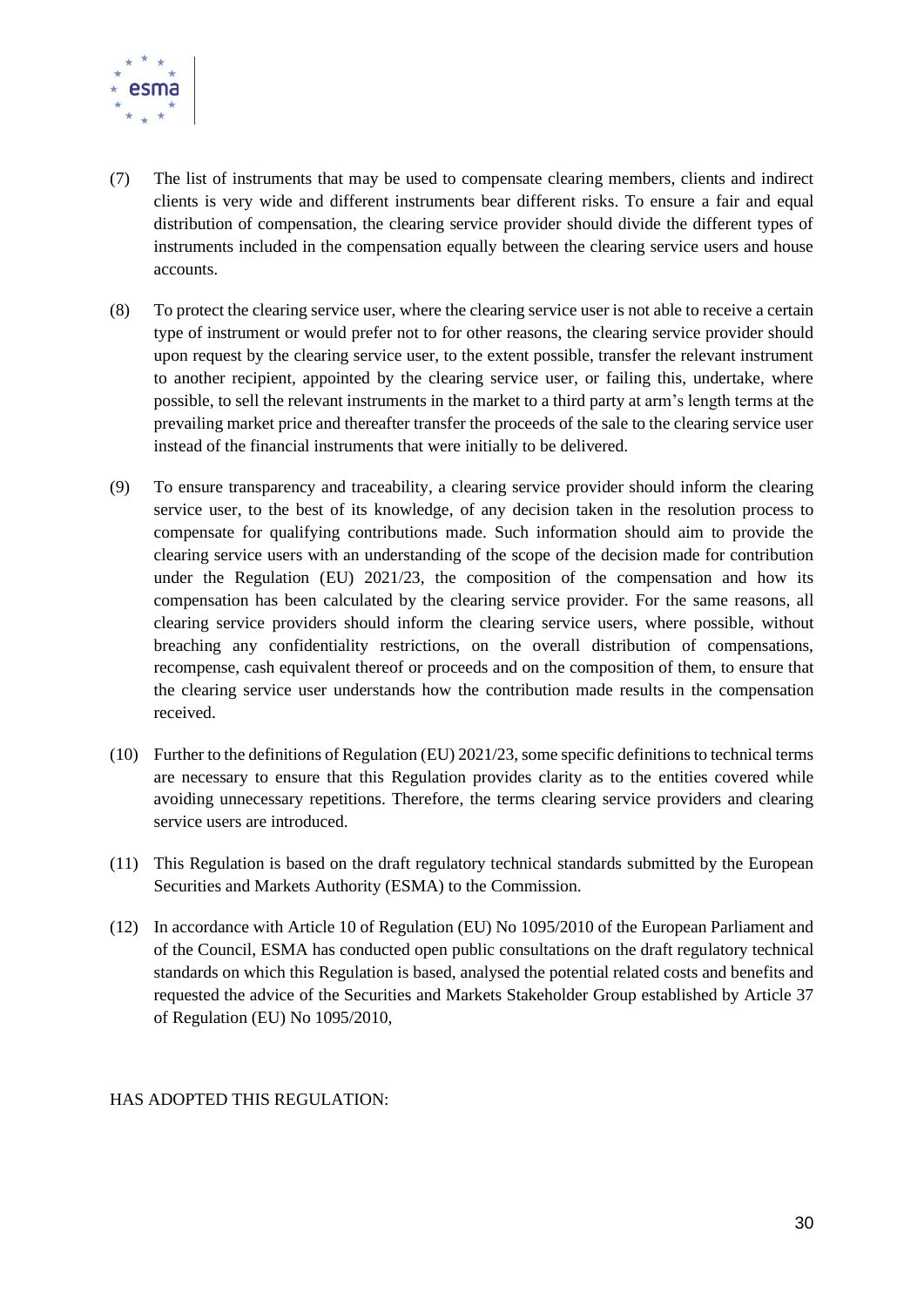

- (7) The list of instruments that may be used to compensate clearing members, clients and indirect clients is very wide and different instruments bear different risks. To ensure a fair and equal distribution of compensation, the clearing service provider should divide the different types of instruments included in the compensation equally between the clearing service users and house accounts.
- (8) To protect the clearing service user, where the clearing service user is not able to receive a certain type of instrument or would prefer not to for other reasons, the clearing service provider should upon request by the clearing service user, to the extent possible, transfer the relevant instrument to another recipient, appointed by the clearing service user, or failing this, undertake, where possible, to sell the relevant instruments in the market to a third party at arm's length terms at the prevailing market price and thereafter transfer the proceeds of the sale to the clearing service user instead of the financial instruments that were initially to be delivered.
- (9) To ensure transparency and traceability, a clearing service provider should inform the clearing service user, to the best of its knowledge, of any decision taken in the resolution process to compensate for qualifying contributions made. Such information should aim to provide the clearing service users with an understanding of the scope of the decision made for contribution under the Regulation (EU) 2021/23, the composition of the compensation and how its compensation has been calculated by the clearing service provider. For the same reasons, all clearing service providers should inform the clearing service users, where possible, without breaching any confidentiality restrictions, on the overall distribution of compensations, recompense, cash equivalent thereof or proceeds and on the composition of them, to ensure that the clearing service user understands how the contribution made results in the compensation received.
- (10) Further to the definitions of Regulation (EU) 2021/23, some specific definitions to technical terms are necessary to ensure that this Regulation provides clarity as to the entities covered while avoiding unnecessary repetitions. Therefore, the terms clearing service providers and clearing service users are introduced.
- (11) This Regulation is based on the draft regulatory technical standards submitted by the European Securities and Markets Authority (ESMA) to the Commission.
- (12) In accordance with Article 10 of Regulation (EU) No 1095/2010 of the European Parliament and of the Council, ESMA has conducted open public consultations on the draft regulatory technical standards on which this Regulation is based, analysed the potential related costs and benefits and requested the advice of the Securities and Markets Stakeholder Group established by Article 37 of Regulation (EU) No 1095/2010,

#### HAS ADOPTED THIS REGULATION: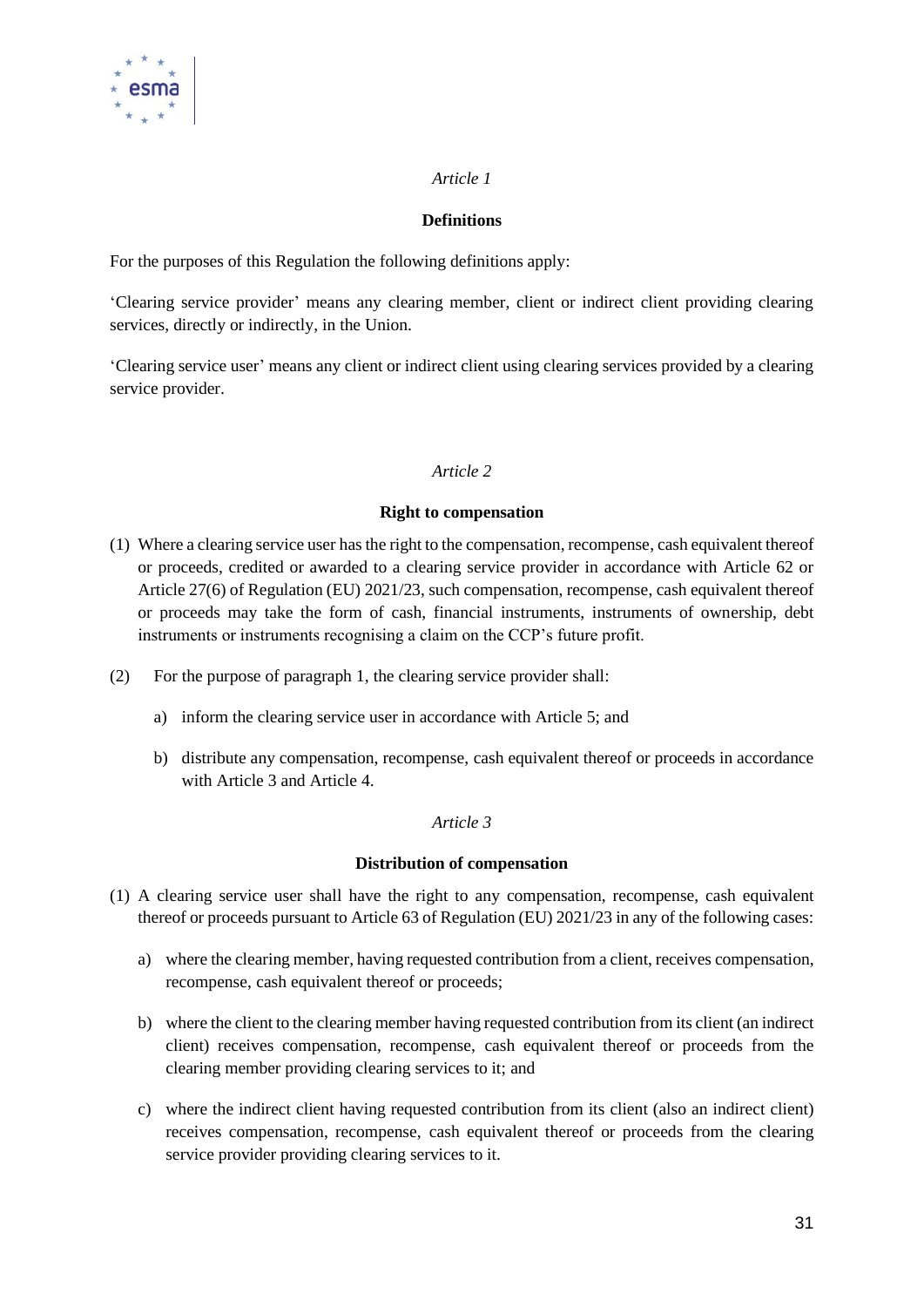

#### *Article 1*

#### **Definitions**

For the purposes of this Regulation the following definitions apply:

'Clearing service provider' means any clearing member, client or indirect client providing clearing services, directly or indirectly, in the Union.

'Clearing service user' means any client or indirect client using clearing services provided by a clearing service provider.

#### *Article 2*

#### **Right to compensation**

- (1) Where a clearing service user has the right to the compensation, recompense, cash equivalent thereof or proceeds, credited or awarded to a clearing service provider in accordance with Article 62 or Article 27(6) of Regulation (EU) 2021/23, such compensation, recompense, cash equivalent thereof or proceeds may take the form of cash, financial instruments, instruments of ownership, debt instruments or instruments recognising a claim on the CCP's future profit.
- (2) For the purpose of paragraph 1, the clearing service provider shall:
	- a) inform the clearing service user in accordance with Article 5; and
	- b) distribute any compensation, recompense, cash equivalent thereof or proceeds in accordance with Article 3 and Article 4.

#### *Article 3*

#### **Distribution of compensation**

- (1) A clearing service user shall have the right to any compensation, recompense, cash equivalent thereof or proceeds pursuant to Article 63 of Regulation (EU) 2021/23 in any of the following cases:
	- a) where the clearing member, having requested contribution from a client, receives compensation, recompense, cash equivalent thereof or proceeds;
	- b) where the client to the clearing member having requested contribution from its client (an indirect client) receives compensation, recompense, cash equivalent thereof or proceeds from the clearing member providing clearing services to it; and
	- c) where the indirect client having requested contribution from its client (also an indirect client) receives compensation, recompense, cash equivalent thereof or proceeds from the clearing service provider providing clearing services to it.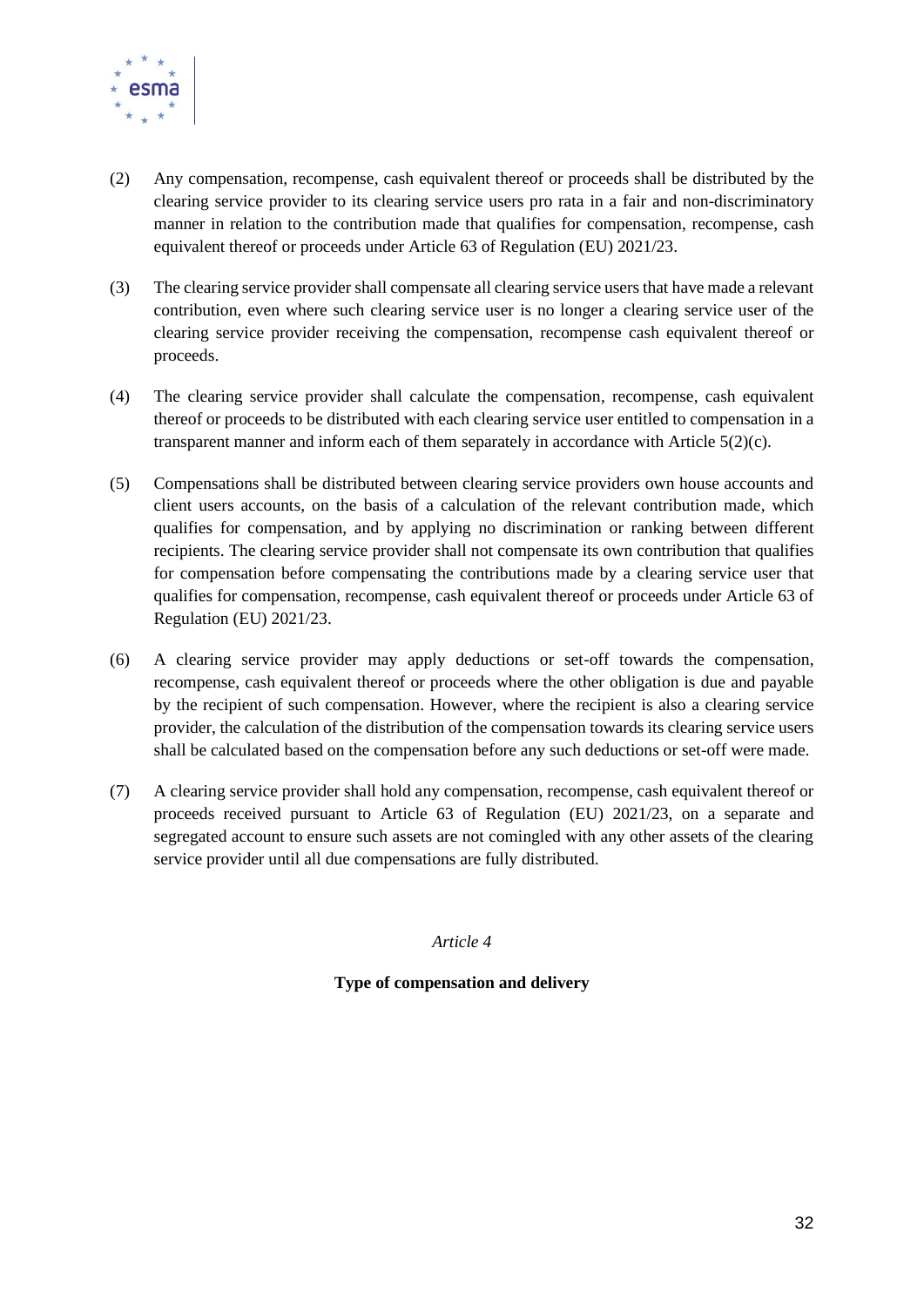

- (2) Any compensation, recompense, cash equivalent thereof or proceeds shall be distributed by the clearing service provider to its clearing service users pro rata in a fair and non-discriminatory manner in relation to the contribution made that qualifies for compensation, recompense, cash equivalent thereof or proceeds under Article 63 of Regulation (EU) 2021/23.
- (3) The clearing service provider shall compensate all clearing service users that have made a relevant contribution, even where such clearing service user is no longer a clearing service user of the clearing service provider receiving the compensation, recompense cash equivalent thereof or proceeds.
- (4) The clearing service provider shall calculate the compensation, recompense, cash equivalent thereof or proceeds to be distributed with each clearing service user entitled to compensation in a transparent manner and inform each of them separately in accordance with Article 5(2)(c).
- (5) Compensations shall be distributed between clearing service providers own house accounts and client users accounts, on the basis of a calculation of the relevant contribution made, which qualifies for compensation, and by applying no discrimination or ranking between different recipients. The clearing service provider shall not compensate its own contribution that qualifies for compensation before compensating the contributions made by a clearing service user that qualifies for compensation, recompense, cash equivalent thereof or proceeds under Article 63 of Regulation (EU) 2021/23.
- (6) A clearing service provider may apply deductions or set-off towards the compensation, recompense, cash equivalent thereof or proceeds where the other obligation is due and payable by the recipient of such compensation. However, where the recipient is also a clearing service provider, the calculation of the distribution of the compensation towards its clearing service users shall be calculated based on the compensation before any such deductions or set-off were made.
- (7) A clearing service provider shall hold any compensation, recompense, cash equivalent thereof or proceeds received pursuant to Article 63 of Regulation (EU) 2021/23, on a separate and segregated account to ensure such assets are not comingled with any other assets of the clearing service provider until all due compensations are fully distributed.

*Article 4*

**Type of compensation and delivery**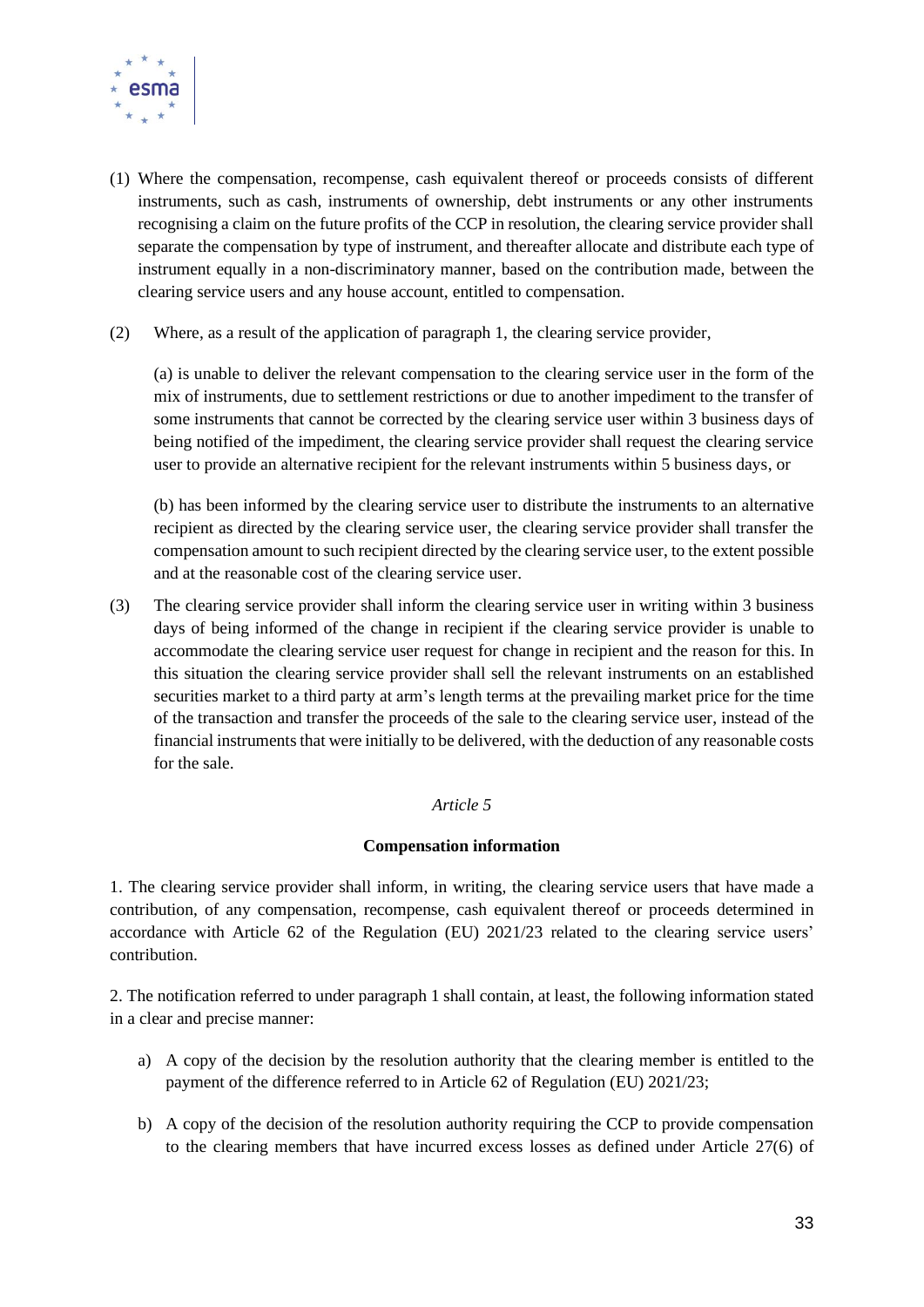

- (1) Where the compensation, recompense, cash equivalent thereof or proceeds consists of different instruments, such as cash, instruments of ownership, debt instruments or any other instruments recognising a claim on the future profits of the CCP in resolution, the clearing service provider shall separate the compensation by type of instrument, and thereafter allocate and distribute each type of instrument equally in a non-discriminatory manner, based on the contribution made, between the clearing service users and any house account, entitled to compensation.
- (2) Where, as a result of the application of paragraph 1, the clearing service provider,

(a) is unable to deliver the relevant compensation to the clearing service user in the form of the mix of instruments, due to settlement restrictions or due to another impediment to the transfer of some instruments that cannot be corrected by the clearing service user within 3 business days of being notified of the impediment, the clearing service provider shall request the clearing service user to provide an alternative recipient for the relevant instruments within 5 business days, or

(b) has been informed by the clearing service user to distribute the instruments to an alternative recipient as directed by the clearing service user, the clearing service provider shall transfer the compensation amount to such recipient directed by the clearing service user, to the extent possible and at the reasonable cost of the clearing service user.

(3) The clearing service provider shall inform the clearing service user in writing within 3 business days of being informed of the change in recipient if the clearing service provider is unable to accommodate the clearing service user request for change in recipient and the reason for this. In this situation the clearing service provider shall sell the relevant instruments on an established securities market to a third party at arm's length terms at the prevailing market price for the time of the transaction and transfer the proceeds of the sale to the clearing service user, instead of the financial instruments that were initially to be delivered, with the deduction of any reasonable costs for the sale.

#### *Article 5*

#### **Compensation information**

1. The clearing service provider shall inform, in writing, the clearing service users that have made a contribution, of any compensation, recompense, cash equivalent thereof or proceeds determined in accordance with Article 62 of the Regulation (EU) 2021/23 related to the clearing service users' contribution.

2. The notification referred to under paragraph 1 shall contain, at least, the following information stated in a clear and precise manner:

- a) A copy of the decision by the resolution authority that the clearing member is entitled to the payment of the difference referred to in Article 62 of Regulation (EU) 2021/23;
- b) A copy of the decision of the resolution authority requiring the CCP to provide compensation to the clearing members that have incurred excess losses as defined under Article 27(6) of